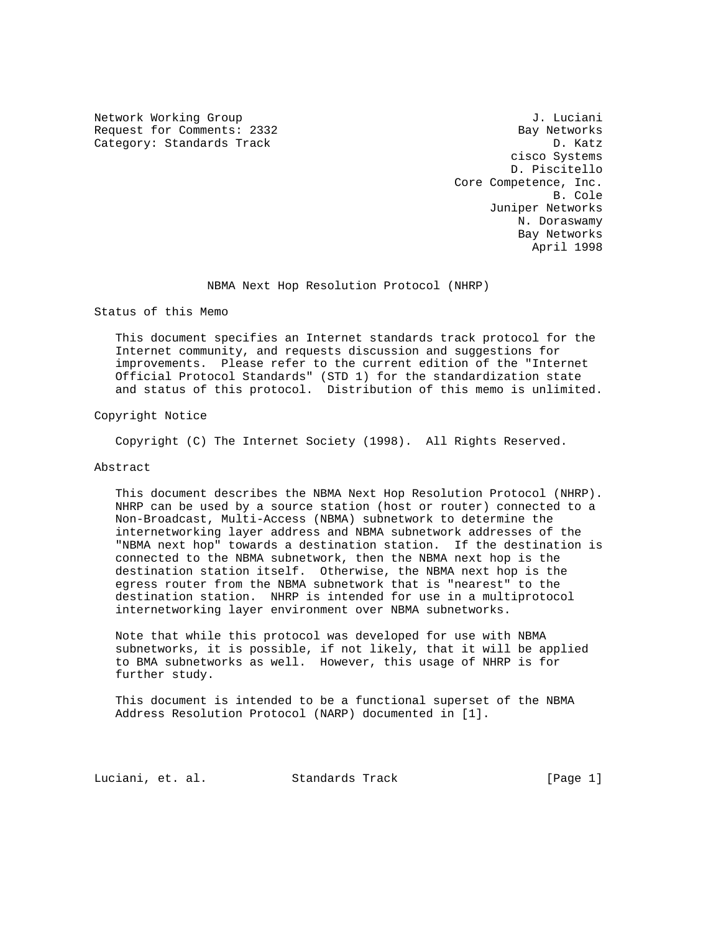Network Working Group 30 and 100 and 100 and 100 and 100 and 100 and 100 and 100 and 100 and 100 and 100 and 1 Request for Comments: 2332 Bay Networks Category: Standards Track D. Katz

 cisco Systems D. Piscitello Core Competence, Inc. B. Cole Juniper Networks N. Doraswamy Bay Networks April 1998

## NBMA Next Hop Resolution Protocol (NHRP)

Status of this Memo

 This document specifies an Internet standards track protocol for the Internet community, and requests discussion and suggestions for improvements. Please refer to the current edition of the "Internet Official Protocol Standards" (STD 1) for the standardization state and status of this protocol. Distribution of this memo is unlimited.

Copyright Notice

Copyright (C) The Internet Society (1998). All Rights Reserved.

## Abstract

 This document describes the NBMA Next Hop Resolution Protocol (NHRP). NHRP can be used by a source station (host or router) connected to a Non-Broadcast, Multi-Access (NBMA) subnetwork to determine the internetworking layer address and NBMA subnetwork addresses of the "NBMA next hop" towards a destination station. If the destination is connected to the NBMA subnetwork, then the NBMA next hop is the destination station itself. Otherwise, the NBMA next hop is the egress router from the NBMA subnetwork that is "nearest" to the destination station. NHRP is intended for use in a multiprotocol internetworking layer environment over NBMA subnetworks.

 Note that while this protocol was developed for use with NBMA subnetworks, it is possible, if not likely, that it will be applied to BMA subnetworks as well. However, this usage of NHRP is for further study.

 This document is intended to be a functional superset of the NBMA Address Resolution Protocol (NARP) documented in [1].

Luciani, et. al. Standards Track [Page 1]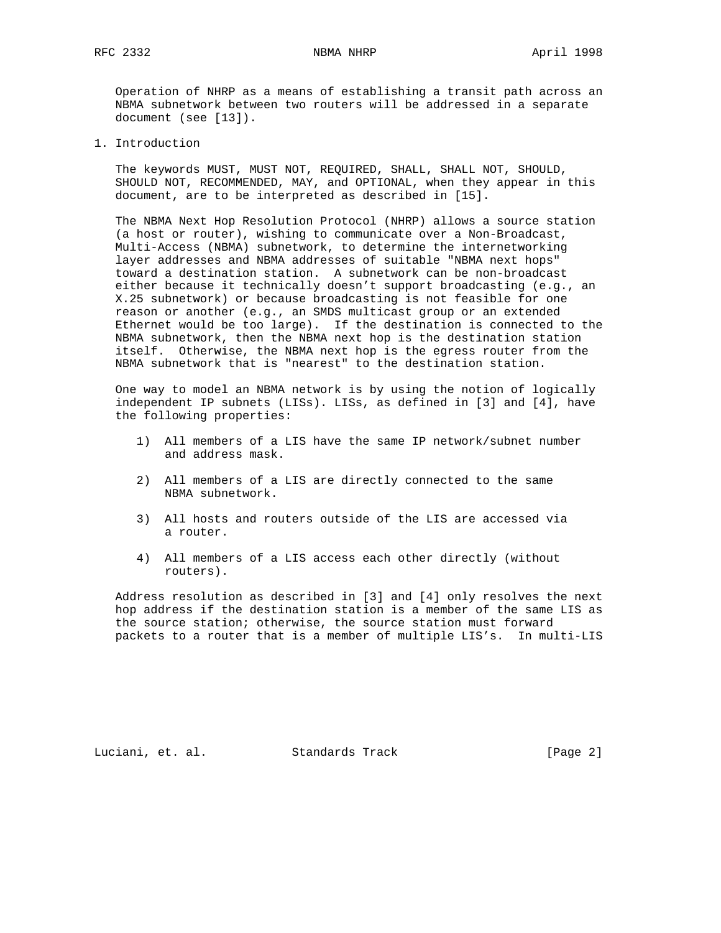Operation of NHRP as a means of establishing a transit path across an NBMA subnetwork between two routers will be addressed in a separate document (see [13]).

1. Introduction

 The keywords MUST, MUST NOT, REQUIRED, SHALL, SHALL NOT, SHOULD, SHOULD NOT, RECOMMENDED, MAY, and OPTIONAL, when they appear in this document, are to be interpreted as described in [15].

 The NBMA Next Hop Resolution Protocol (NHRP) allows a source station (a host or router), wishing to communicate over a Non-Broadcast, Multi-Access (NBMA) subnetwork, to determine the internetworking layer addresses and NBMA addresses of suitable "NBMA next hops" toward a destination station. A subnetwork can be non-broadcast either because it technically doesn't support broadcasting (e.g., an X.25 subnetwork) or because broadcasting is not feasible for one reason or another (e.g., an SMDS multicast group or an extended Ethernet would be too large). If the destination is connected to the NBMA subnetwork, then the NBMA next hop is the destination station itself. Otherwise, the NBMA next hop is the egress router from the NBMA subnetwork that is "nearest" to the destination station.

 One way to model an NBMA network is by using the notion of logically independent IP subnets (LISs). LISs, as defined in [3] and [4], have the following properties:

- 1) All members of a LIS have the same IP network/subnet number and address mask.
- 2) All members of a LIS are directly connected to the same NBMA subnetwork.
- 3) All hosts and routers outside of the LIS are accessed via a router.
- 4) All members of a LIS access each other directly (without routers).

 Address resolution as described in [3] and [4] only resolves the next hop address if the destination station is a member of the same LIS as the source station; otherwise, the source station must forward packets to a router that is a member of multiple LIS's. In multi-LIS

Luciani, et. al. Standards Track [Page 2]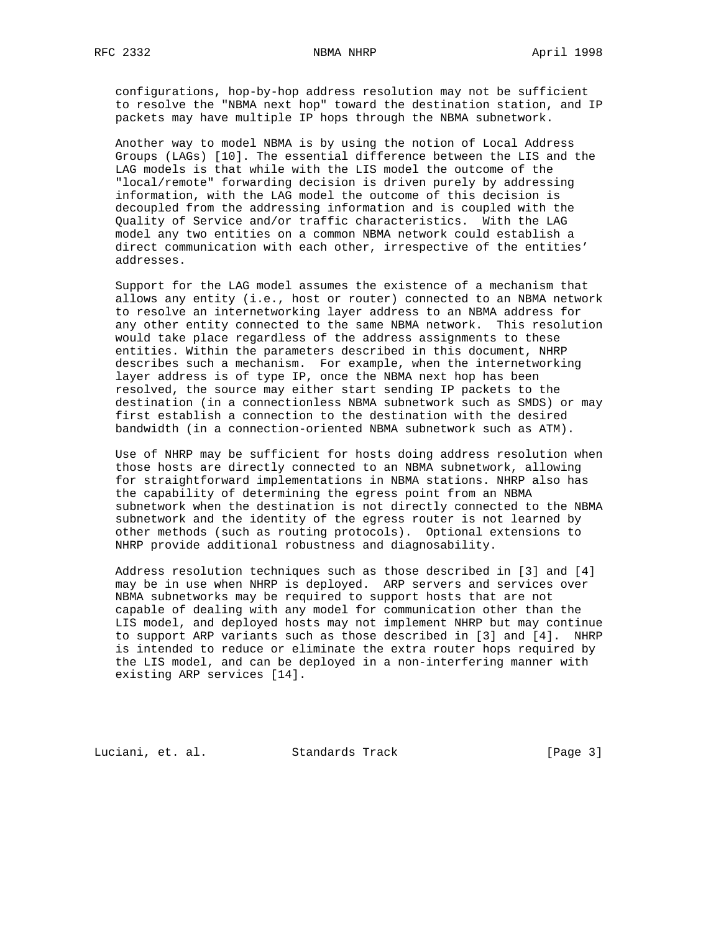configurations, hop-by-hop address resolution may not be sufficient to resolve the "NBMA next hop" toward the destination station, and IP

packets may have multiple IP hops through the NBMA subnetwork.

 Another way to model NBMA is by using the notion of Local Address Groups (LAGs) [10]. The essential difference between the LIS and the LAG models is that while with the LIS model the outcome of the "local/remote" forwarding decision is driven purely by addressing information, with the LAG model the outcome of this decision is decoupled from the addressing information and is coupled with the Quality of Service and/or traffic characteristics. With the LAG model any two entities on a common NBMA network could establish a direct communication with each other, irrespective of the entities' addresses.

 Support for the LAG model assumes the existence of a mechanism that allows any entity (i.e., host or router) connected to an NBMA network to resolve an internetworking layer address to an NBMA address for any other entity connected to the same NBMA network. This resolution would take place regardless of the address assignments to these entities. Within the parameters described in this document, NHRP describes such a mechanism. For example, when the internetworking layer address is of type IP, once the NBMA next hop has been resolved, the source may either start sending IP packets to the destination (in a connectionless NBMA subnetwork such as SMDS) or may first establish a connection to the destination with the desired bandwidth (in a connection-oriented NBMA subnetwork such as ATM).

 Use of NHRP may be sufficient for hosts doing address resolution when those hosts are directly connected to an NBMA subnetwork, allowing for straightforward implementations in NBMA stations. NHRP also has the capability of determining the egress point from an NBMA subnetwork when the destination is not directly connected to the NBMA subnetwork and the identity of the egress router is not learned by other methods (such as routing protocols). Optional extensions to NHRP provide additional robustness and diagnosability.

 Address resolution techniques such as those described in [3] and [4] may be in use when NHRP is deployed. ARP servers and services over NBMA subnetworks may be required to support hosts that are not capable of dealing with any model for communication other than the LIS model, and deployed hosts may not implement NHRP but may continue to support ARP variants such as those described in [3] and [4]. NHRP is intended to reduce or eliminate the extra router hops required by the LIS model, and can be deployed in a non-interfering manner with existing ARP services [14].

Luciani, et. al. Standards Track [Page 3]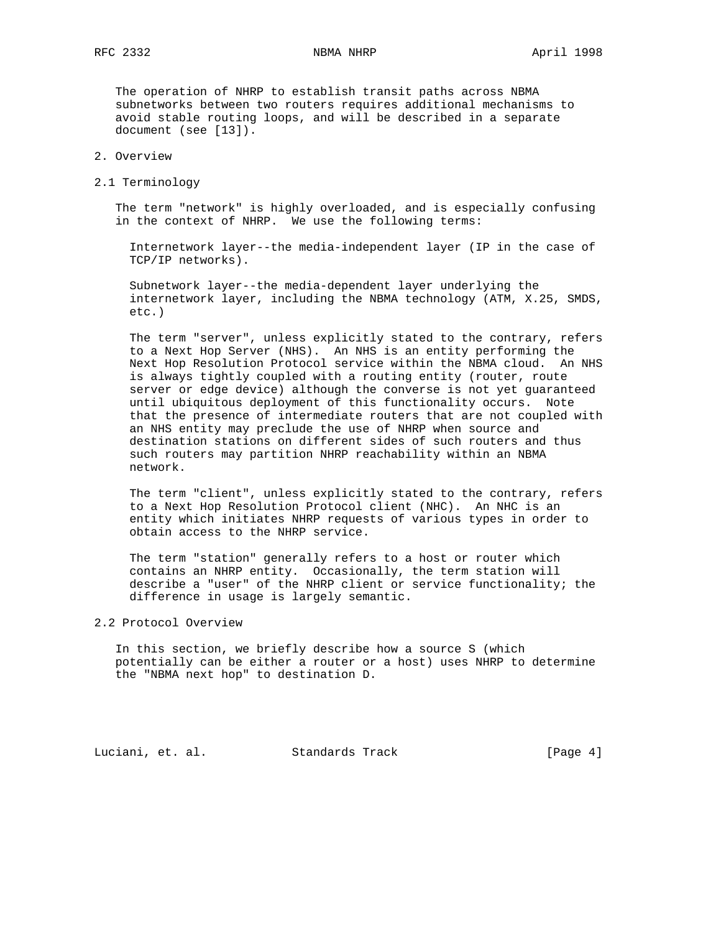The operation of NHRP to establish transit paths across NBMA subnetworks between two routers requires additional mechanisms to avoid stable routing loops, and will be described in a separate document (see [13]).

# 2. Overview

2.1 Terminology

 The term "network" is highly overloaded, and is especially confusing in the context of NHRP. We use the following terms:

 Internetwork layer--the media-independent layer (IP in the case of TCP/IP networks).

 Subnetwork layer--the media-dependent layer underlying the internetwork layer, including the NBMA technology (ATM, X.25, SMDS, etc.)

 The term "server", unless explicitly stated to the contrary, refers to a Next Hop Server (NHS). An NHS is an entity performing the Next Hop Resolution Protocol service within the NBMA cloud. An NHS is always tightly coupled with a routing entity (router, route server or edge device) although the converse is not yet guaranteed until ubiquitous deployment of this functionality occurs. Note that the presence of intermediate routers that are not coupled with an NHS entity may preclude the use of NHRP when source and destination stations on different sides of such routers and thus such routers may partition NHRP reachability within an NBMA network.

 The term "client", unless explicitly stated to the contrary, refers to a Next Hop Resolution Protocol client (NHC). An NHC is an entity which initiates NHRP requests of various types in order to obtain access to the NHRP service.

 The term "station" generally refers to a host or router which contains an NHRP entity. Occasionally, the term station will describe a "user" of the NHRP client or service functionality; the difference in usage is largely semantic.

# 2.2 Protocol Overview

 In this section, we briefly describe how a source S (which potentially can be either a router or a host) uses NHRP to determine the "NBMA next hop" to destination D.

Luciani, et. al. Standards Track [Page 4]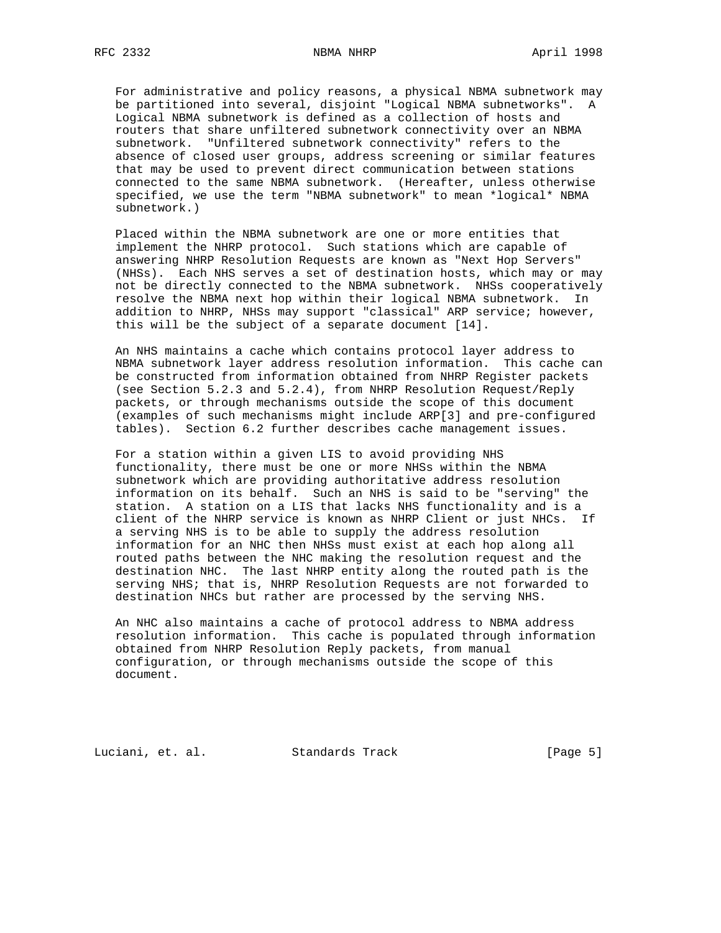For administrative and policy reasons, a physical NBMA subnetwork may be partitioned into several, disjoint "Logical NBMA subnetworks". A Logical NBMA subnetwork is defined as a collection of hosts and routers that share unfiltered subnetwork connectivity over an NBMA subnetwork. "Unfiltered subnetwork connectivity" refers to the absence of closed user groups, address screening or similar features that may be used to prevent direct communication between stations connected to the same NBMA subnetwork. (Hereafter, unless otherwise specified, we use the term "NBMA subnetwork" to mean \*logical\* NBMA subnetwork.)

 Placed within the NBMA subnetwork are one or more entities that implement the NHRP protocol. Such stations which are capable of answering NHRP Resolution Requests are known as "Next Hop Servers" (NHSs). Each NHS serves a set of destination hosts, which may or may not be directly connected to the NBMA subnetwork. NHSs cooperatively resolve the NBMA next hop within their logical NBMA subnetwork. In addition to NHRP, NHSs may support "classical" ARP service; however, this will be the subject of a separate document [14].

 An NHS maintains a cache which contains protocol layer address to NBMA subnetwork layer address resolution information. This cache can be constructed from information obtained from NHRP Register packets (see Section 5.2.3 and 5.2.4), from NHRP Resolution Request/Reply packets, or through mechanisms outside the scope of this document (examples of such mechanisms might include ARP[3] and pre-configured tables). Section 6.2 further describes cache management issues.

 For a station within a given LIS to avoid providing NHS functionality, there must be one or more NHSs within the NBMA subnetwork which are providing authoritative address resolution information on its behalf. Such an NHS is said to be "serving" the station. A station on a LIS that lacks NHS functionality and is a client of the NHRP service is known as NHRP Client or just NHCs. If a serving NHS is to be able to supply the address resolution information for an NHC then NHSs must exist at each hop along all routed paths between the NHC making the resolution request and the destination NHC. The last NHRP entity along the routed path is the serving NHS; that is, NHRP Resolution Requests are not forwarded to destination NHCs but rather are processed by the serving NHS.

 An NHC also maintains a cache of protocol address to NBMA address resolution information. This cache is populated through information obtained from NHRP Resolution Reply packets, from manual configuration, or through mechanisms outside the scope of this document.

Luciani, et. al. Standards Track [Page 5]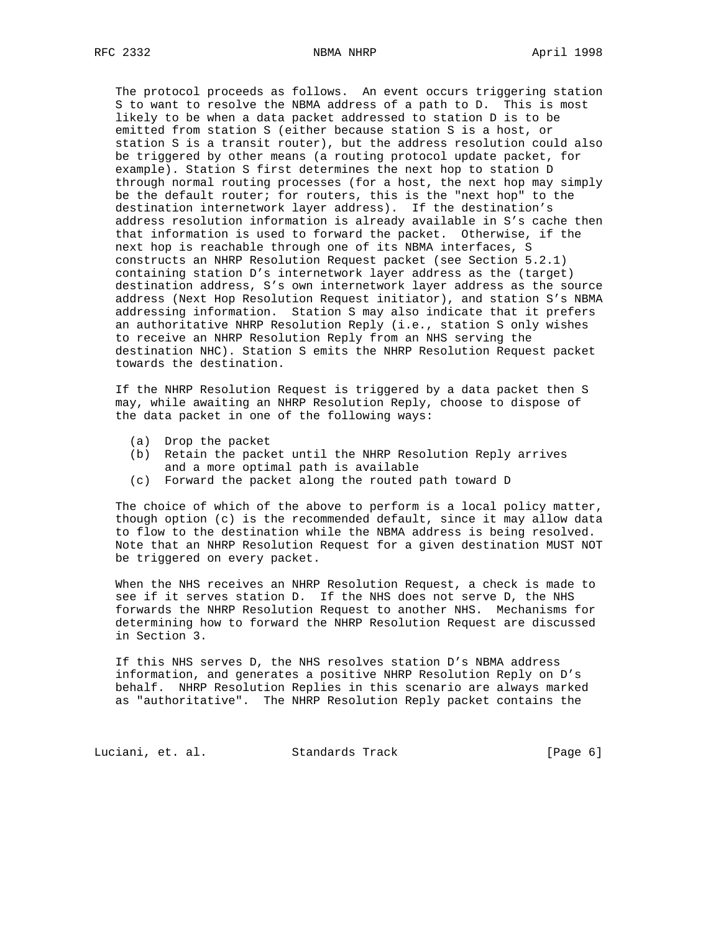The protocol proceeds as follows. An event occurs triggering station S to want to resolve the NBMA address of a path to D. This is most likely to be when a data packet addressed to station D is to be emitted from station S (either because station S is a host, or station S is a transit router), but the address resolution could also be triggered by other means (a routing protocol update packet, for example). Station S first determines the next hop to station D through normal routing processes (for a host, the next hop may simply be the default router; for routers, this is the "next hop" to the destination internetwork layer address). If the destination's address resolution information is already available in S's cache then that information is used to forward the packet. Otherwise, if the next hop is reachable through one of its NBMA interfaces, S constructs an NHRP Resolution Request packet (see Section 5.2.1) containing station D's internetwork layer address as the (target) destination address, S's own internetwork layer address as the source address (Next Hop Resolution Request initiator), and station S's NBMA addressing information. Station S may also indicate that it prefers an authoritative NHRP Resolution Reply (i.e., station S only wishes to receive an NHRP Resolution Reply from an NHS serving the destination NHC). Station S emits the NHRP Resolution Request packet towards the destination.

 If the NHRP Resolution Request is triggered by a data packet then S may, while awaiting an NHRP Resolution Reply, choose to dispose of the data packet in one of the following ways:

- (a) Drop the packet
- (b) Retain the packet until the NHRP Resolution Reply arrives and a more optimal path is available
- (c) Forward the packet along the routed path toward D

 The choice of which of the above to perform is a local policy matter, though option (c) is the recommended default, since it may allow data to flow to the destination while the NBMA address is being resolved. Note that an NHRP Resolution Request for a given destination MUST NOT be triggered on every packet.

 When the NHS receives an NHRP Resolution Request, a check is made to see if it serves station D. If the NHS does not serve D, the NHS forwards the NHRP Resolution Request to another NHS. Mechanisms for determining how to forward the NHRP Resolution Request are discussed in Section 3.

 If this NHS serves D, the NHS resolves station D's NBMA address information, and generates a positive NHRP Resolution Reply on D's behalf. NHRP Resolution Replies in this scenario are always marked as "authoritative". The NHRP Resolution Reply packet contains the

Luciani, et. al. Standards Track [Page 6]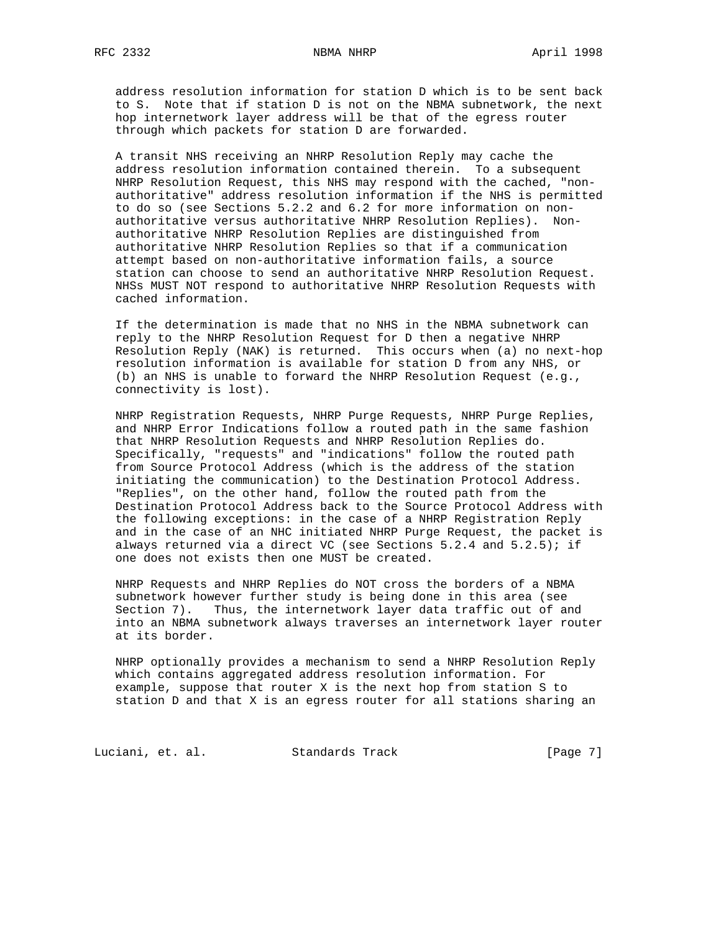address resolution information for station D which is to be sent back to S. Note that if station D is not on the NBMA subnetwork, the next hop internetwork layer address will be that of the egress router through which packets for station D are forwarded.

 A transit NHS receiving an NHRP Resolution Reply may cache the address resolution information contained therein. To a subsequent NHRP Resolution Request, this NHS may respond with the cached, "non authoritative" address resolution information if the NHS is permitted to do so (see Sections 5.2.2 and 6.2 for more information on non authoritative versus authoritative NHRP Resolution Replies). Non authoritative NHRP Resolution Replies are distinguished from authoritative NHRP Resolution Replies so that if a communication attempt based on non-authoritative information fails, a source station can choose to send an authoritative NHRP Resolution Request. NHSs MUST NOT respond to authoritative NHRP Resolution Requests with cached information.

 If the determination is made that no NHS in the NBMA subnetwork can reply to the NHRP Resolution Request for D then a negative NHRP Resolution Reply (NAK) is returned. This occurs when (a) no next-hop resolution information is available for station D from any NHS, or (b) an NHS is unable to forward the NHRP Resolution Request (e.g., connectivity is lost).

 NHRP Registration Requests, NHRP Purge Requests, NHRP Purge Replies, and NHRP Error Indications follow a routed path in the same fashion that NHRP Resolution Requests and NHRP Resolution Replies do. Specifically, "requests" and "indications" follow the routed path from Source Protocol Address (which is the address of the station initiating the communication) to the Destination Protocol Address. "Replies", on the other hand, follow the routed path from the Destination Protocol Address back to the Source Protocol Address with the following exceptions: in the case of a NHRP Registration Reply and in the case of an NHC initiated NHRP Purge Request, the packet is always returned via a direct VC (see Sections 5.2.4 and 5.2.5); if one does not exists then one MUST be created.

 NHRP Requests and NHRP Replies do NOT cross the borders of a NBMA subnetwork however further study is being done in this area (see Section 7). Thus, the internetwork layer data traffic out of and into an NBMA subnetwork always traverses an internetwork layer router at its border.

 NHRP optionally provides a mechanism to send a NHRP Resolution Reply which contains aggregated address resolution information. For example, suppose that router X is the next hop from station S to station D and that X is an egress router for all stations sharing an

Luciani, et. al. Standards Track [Page 7]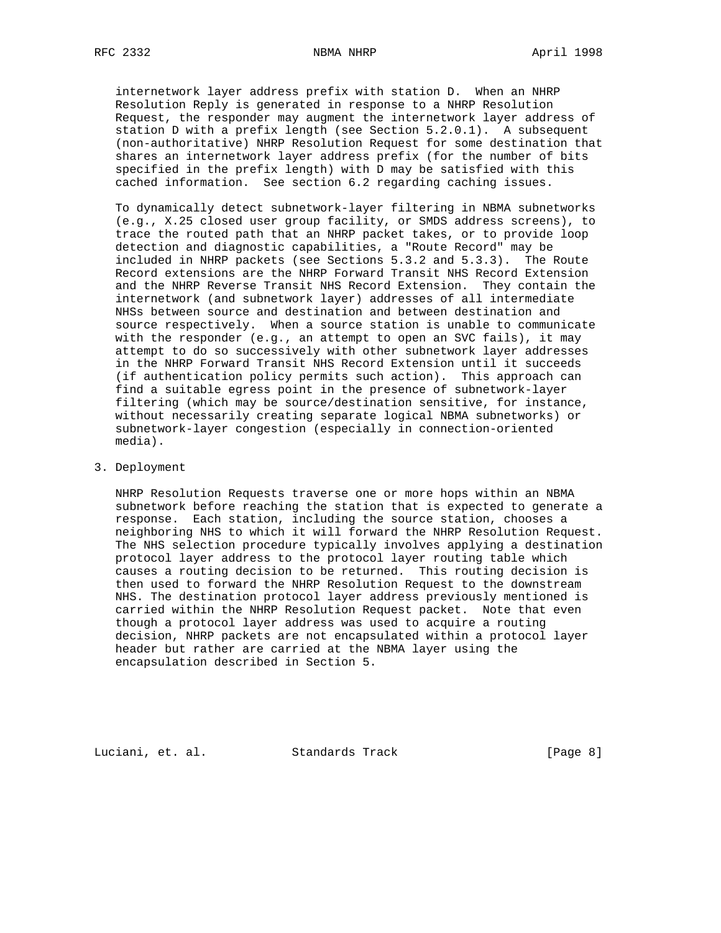internetwork layer address prefix with station D. When an NHRP Resolution Reply is generated in response to a NHRP Resolution Request, the responder may augment the internetwork layer address of station D with a prefix length (see Section 5.2.0.1). A subsequent (non-authoritative) NHRP Resolution Request for some destination that shares an internetwork layer address prefix (for the number of bits specified in the prefix length) with D may be satisfied with this cached information. See section 6.2 regarding caching issues.

 To dynamically detect subnetwork-layer filtering in NBMA subnetworks (e.g., X.25 closed user group facility, or SMDS address screens), to trace the routed path that an NHRP packet takes, or to provide loop detection and diagnostic capabilities, a "Route Record" may be included in NHRP packets (see Sections 5.3.2 and 5.3.3). The Route Record extensions are the NHRP Forward Transit NHS Record Extension and the NHRP Reverse Transit NHS Record Extension. They contain the internetwork (and subnetwork layer) addresses of all intermediate NHSs between source and destination and between destination and source respectively. When a source station is unable to communicate with the responder (e.g., an attempt to open an SVC fails), it may attempt to do so successively with other subnetwork layer addresses in the NHRP Forward Transit NHS Record Extension until it succeeds (if authentication policy permits such action). This approach can find a suitable egress point in the presence of subnetwork-layer filtering (which may be source/destination sensitive, for instance, without necessarily creating separate logical NBMA subnetworks) or subnetwork-layer congestion (especially in connection-oriented media).

### 3. Deployment

 NHRP Resolution Requests traverse one or more hops within an NBMA subnetwork before reaching the station that is expected to generate a response. Each station, including the source station, chooses a neighboring NHS to which it will forward the NHRP Resolution Request. The NHS selection procedure typically involves applying a destination protocol layer address to the protocol layer routing table which causes a routing decision to be returned. This routing decision is then used to forward the NHRP Resolution Request to the downstream NHS. The destination protocol layer address previously mentioned is carried within the NHRP Resolution Request packet. Note that even though a protocol layer address was used to acquire a routing decision, NHRP packets are not encapsulated within a protocol layer header but rather are carried at the NBMA layer using the encapsulation described in Section 5.

Luciani, et. al. Standards Track [Page 8]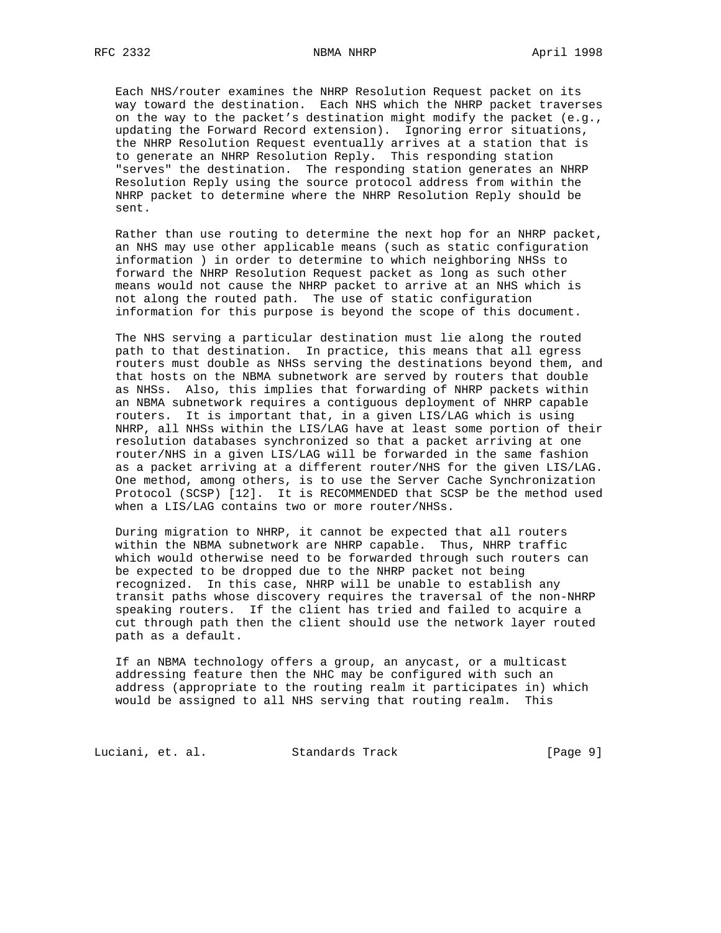Each NHS/router examines the NHRP Resolution Request packet on its way toward the destination. Each NHS which the NHRP packet traverses on the way to the packet's destination might modify the packet (e.g., updating the Forward Record extension). Ignoring error situations, the NHRP Resolution Request eventually arrives at a station that is to generate an NHRP Resolution Reply. This responding station "serves" the destination. The responding station generates an NHRP Resolution Reply using the source protocol address from within the NHRP packet to determine where the NHRP Resolution Reply should be sent.

 Rather than use routing to determine the next hop for an NHRP packet, an NHS may use other applicable means (such as static configuration information ) in order to determine to which neighboring NHSs to forward the NHRP Resolution Request packet as long as such other means would not cause the NHRP packet to arrive at an NHS which is not along the routed path. The use of static configuration information for this purpose is beyond the scope of this document.

 The NHS serving a particular destination must lie along the routed path to that destination. In practice, this means that all egress routers must double as NHSs serving the destinations beyond them, and that hosts on the NBMA subnetwork are served by routers that double as NHSs. Also, this implies that forwarding of NHRP packets within an NBMA subnetwork requires a contiguous deployment of NHRP capable routers. It is important that, in a given LIS/LAG which is using NHRP, all NHSs within the LIS/LAG have at least some portion of their resolution databases synchronized so that a packet arriving at one router/NHS in a given LIS/LAG will be forwarded in the same fashion as a packet arriving at a different router/NHS for the given LIS/LAG. One method, among others, is to use the Server Cache Synchronization Protocol (SCSP) [12]. It is RECOMMENDED that SCSP be the method used when a LIS/LAG contains two or more router/NHSs.

 During migration to NHRP, it cannot be expected that all routers within the NBMA subnetwork are NHRP capable. Thus, NHRP traffic which would otherwise need to be forwarded through such routers can be expected to be dropped due to the NHRP packet not being recognized. In this case, NHRP will be unable to establish any transit paths whose discovery requires the traversal of the non-NHRP speaking routers. If the client has tried and failed to acquire a cut through path then the client should use the network layer routed path as a default.

 If an NBMA technology offers a group, an anycast, or a multicast addressing feature then the NHC may be configured with such an address (appropriate to the routing realm it participates in) which would be assigned to all NHS serving that routing realm. This

Luciani, et. al. Standards Track [Page 9]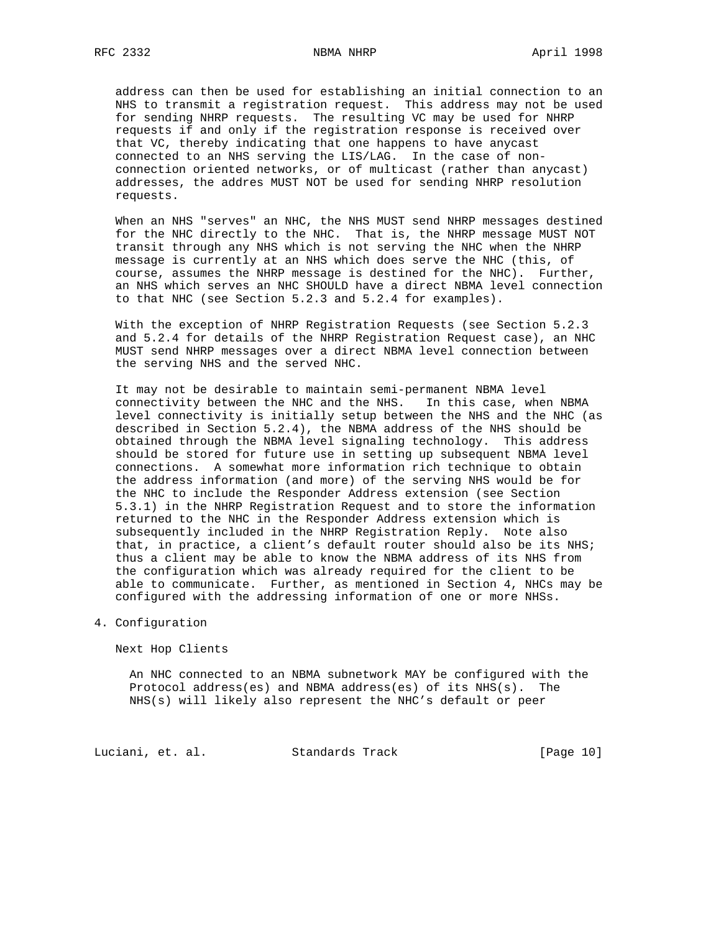address can then be used for establishing an initial connection to an NHS to transmit a registration request. This address may not be used for sending NHRP requests. The resulting VC may be used for NHRP requests if and only if the registration response is received over that VC, thereby indicating that one happens to have anycast connected to an NHS serving the LIS/LAG. In the case of non connection oriented networks, or of multicast (rather than anycast) addresses, the addres MUST NOT be used for sending NHRP resolution requests.

 When an NHS "serves" an NHC, the NHS MUST send NHRP messages destined for the NHC directly to the NHC. That is, the NHRP message MUST NOT transit through any NHS which is not serving the NHC when the NHRP message is currently at an NHS which does serve the NHC (this, of course, assumes the NHRP message is destined for the NHC). Further, an NHS which serves an NHC SHOULD have a direct NBMA level connection to that NHC (see Section 5.2.3 and 5.2.4 for examples).

 With the exception of NHRP Registration Requests (see Section 5.2.3 and 5.2.4 for details of the NHRP Registration Request case), an NHC MUST send NHRP messages over a direct NBMA level connection between the serving NHS and the served NHC.

 It may not be desirable to maintain semi-permanent NBMA level connectivity between the NHC and the NHS. In this case, when NBMA level connectivity is initially setup between the NHS and the NHC (as described in Section 5.2.4), the NBMA address of the NHS should be obtained through the NBMA level signaling technology. This address should be stored for future use in setting up subsequent NBMA level connections. A somewhat more information rich technique to obtain the address information (and more) of the serving NHS would be for the NHC to include the Responder Address extension (see Section 5.3.1) in the NHRP Registration Request and to store the information returned to the NHC in the Responder Address extension which is subsequently included in the NHRP Registration Reply. Note also that, in practice, a client's default router should also be its NHS; thus a client may be able to know the NBMA address of its NHS from the configuration which was already required for the client to be able to communicate. Further, as mentioned in Section 4, NHCs may be configured with the addressing information of one or more NHSs.

## 4. Configuration

Next Hop Clients

 An NHC connected to an NBMA subnetwork MAY be configured with the Protocol address(es) and NBMA address(es) of its NHS(s). The NHS(s) will likely also represent the NHC's default or peer

Luciani, et. al. Standards Track [Page 10]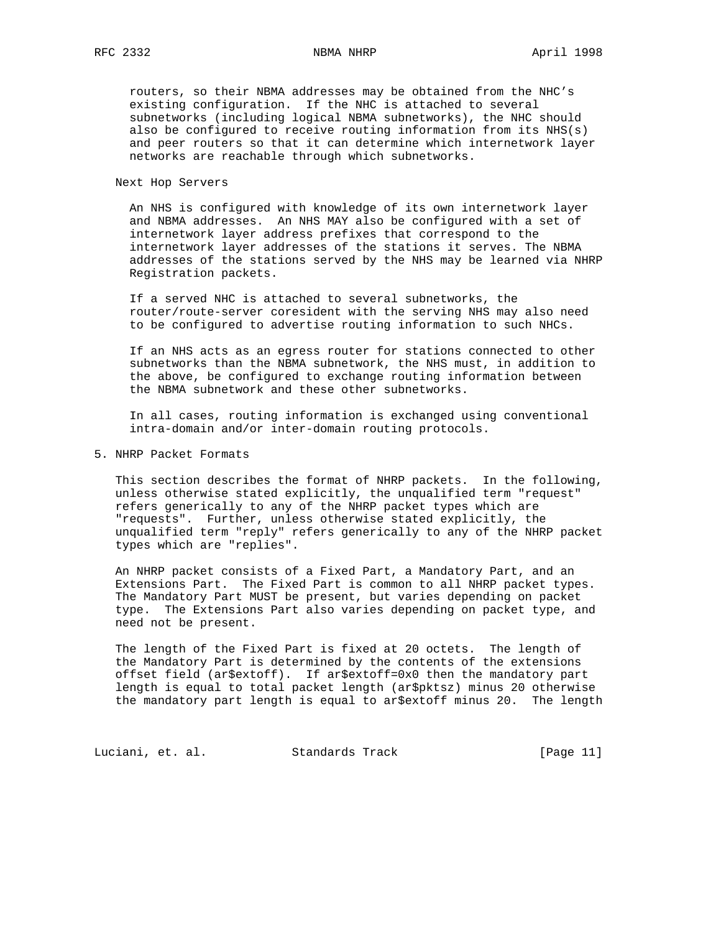routers, so their NBMA addresses may be obtained from the NHC's existing configuration. If the NHC is attached to several subnetworks (including logical NBMA subnetworks), the NHC should also be configured to receive routing information from its NHS(s) and peer routers so that it can determine which internetwork layer networks are reachable through which subnetworks.

Next Hop Servers

 An NHS is configured with knowledge of its own internetwork layer and NBMA addresses. An NHS MAY also be configured with a set of internetwork layer address prefixes that correspond to the internetwork layer addresses of the stations it serves. The NBMA addresses of the stations served by the NHS may be learned via NHRP Registration packets.

 If a served NHC is attached to several subnetworks, the router/route-server coresident with the serving NHS may also need to be configured to advertise routing information to such NHCs.

 If an NHS acts as an egress router for stations connected to other subnetworks than the NBMA subnetwork, the NHS must, in addition to the above, be configured to exchange routing information between the NBMA subnetwork and these other subnetworks.

 In all cases, routing information is exchanged using conventional intra-domain and/or inter-domain routing protocols.

5. NHRP Packet Formats

 This section describes the format of NHRP packets. In the following, unless otherwise stated explicitly, the unqualified term "request" refers generically to any of the NHRP packet types which are "requests". Further, unless otherwise stated explicitly, the unqualified term "reply" refers generically to any of the NHRP packet types which are "replies".

 An NHRP packet consists of a Fixed Part, a Mandatory Part, and an Extensions Part. The Fixed Part is common to all NHRP packet types. The Mandatory Part MUST be present, but varies depending on packet type. The Extensions Part also varies depending on packet type, and need not be present.

 The length of the Fixed Part is fixed at 20 octets. The length of the Mandatory Part is determined by the contents of the extensions offset field (ar\$extoff). If ar\$extoff=0x0 then the mandatory part length is equal to total packet length (ar\$pktsz) minus 20 otherwise the mandatory part length is equal to ar\$extoff minus 20. The length

Luciani, et. al. Standards Track [Page 11]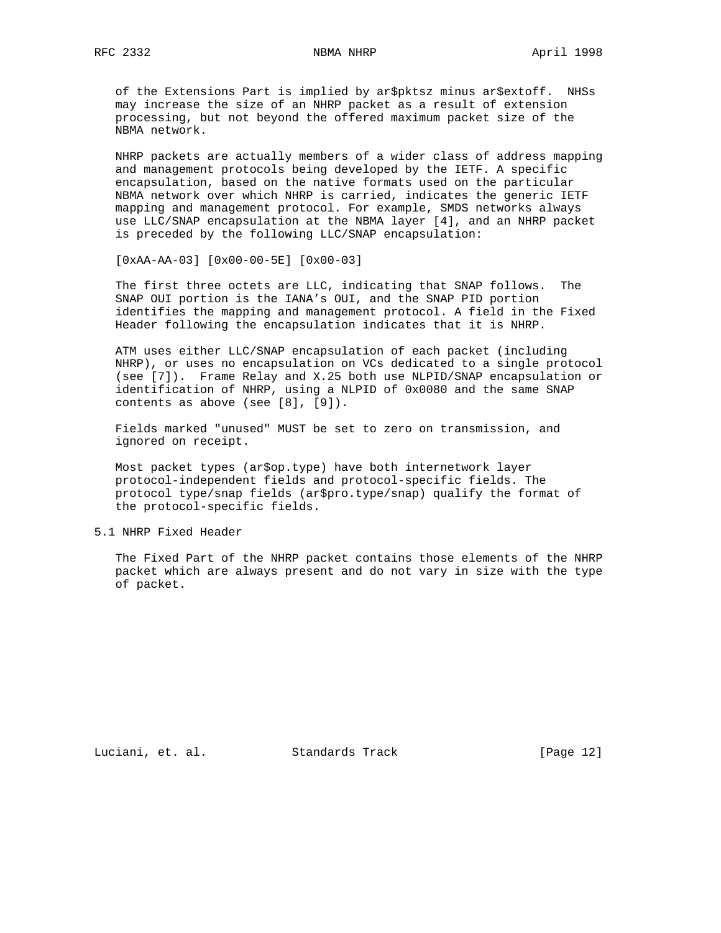of the Extensions Part is implied by ar\$pktsz minus ar\$extoff. NHSs may increase the size of an NHRP packet as a result of extension processing, but not beyond the offered maximum packet size of the NBMA network.

 NHRP packets are actually members of a wider class of address mapping and management protocols being developed by the IETF. A specific encapsulation, based on the native formats used on the particular NBMA network over which NHRP is carried, indicates the generic IETF mapping and management protocol. For example, SMDS networks always use LLC/SNAP encapsulation at the NBMA layer [4], and an NHRP packet is preceded by the following LLC/SNAP encapsulation:

[0xAA-AA-03] [0x00-00-5E] [0x00-03]

 The first three octets are LLC, indicating that SNAP follows. The SNAP OUI portion is the IANA's OUI, and the SNAP PID portion identifies the mapping and management protocol. A field in the Fixed Header following the encapsulation indicates that it is NHRP.

 ATM uses either LLC/SNAP encapsulation of each packet (including NHRP), or uses no encapsulation on VCs dedicated to a single protocol (see [7]). Frame Relay and X.25 both use NLPID/SNAP encapsulation or identification of NHRP, using a NLPID of 0x0080 and the same SNAP contents as above (see [8], [9]).

 Fields marked "unused" MUST be set to zero on transmission, and ignored on receipt.

 Most packet types (ar\$op.type) have both internetwork layer protocol-independent fields and protocol-specific fields. The protocol type/snap fields (ar\$pro.type/snap) qualify the format of the protocol-specific fields.

5.1 NHRP Fixed Header

 The Fixed Part of the NHRP packet contains those elements of the NHRP packet which are always present and do not vary in size with the type of packet.

Luciani, et. al. Standards Track [Page 12]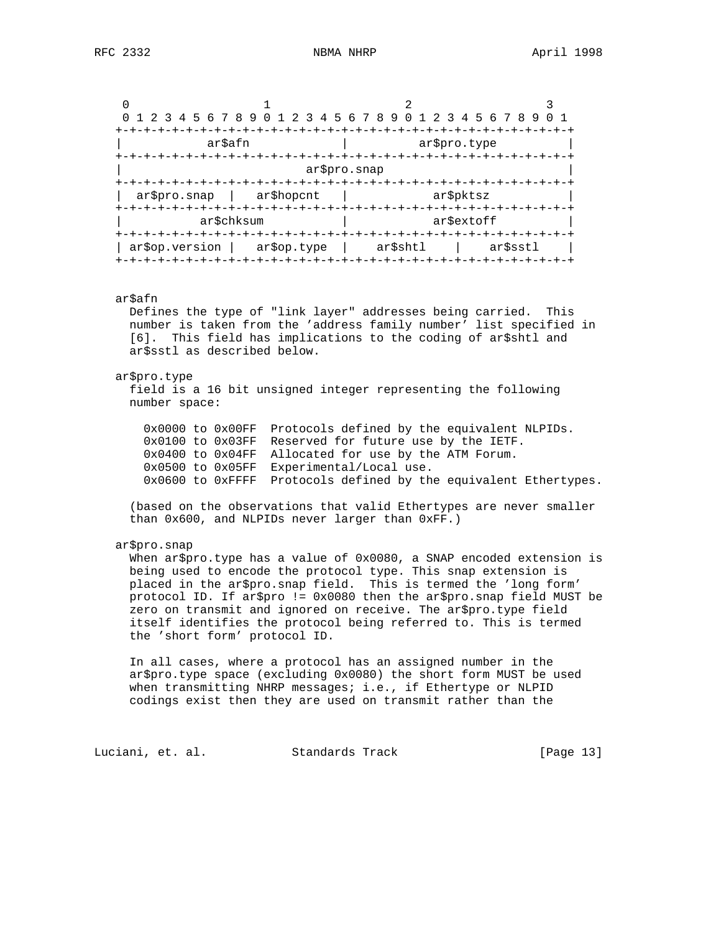| 0 1 2 3        | 2<br>45678901 | 345678901<br>2 3 4 5 6 7 8 9 |          |  |  |  |  |  |  |  |  |  |  |
|----------------|---------------|------------------------------|----------|--|--|--|--|--|--|--|--|--|--|
|                |               |                              |          |  |  |  |  |  |  |  |  |  |  |
| ar\$afn        |               | ar\$pro.type                 |          |  |  |  |  |  |  |  |  |  |  |
|                |               |                              |          |  |  |  |  |  |  |  |  |  |  |
|                | ar\$pro.snap  |                              |          |  |  |  |  |  |  |  |  |  |  |
|                | +-+-+-+-+-+-+ |                              |          |  |  |  |  |  |  |  |  |  |  |
| ar\$pro.snap   | ar\$hopcnt    | ar\$pktsz                    |          |  |  |  |  |  |  |  |  |  |  |
|                |               |                              |          |  |  |  |  |  |  |  |  |  |  |
|                | ar\$chksum    | ar\$extoff                   |          |  |  |  |  |  |  |  |  |  |  |
|                |               |                              |          |  |  |  |  |  |  |  |  |  |  |
| ar\$op.version | ar\$op.type   | ar\$shtl                     | ar\$sstl |  |  |  |  |  |  |  |  |  |  |
|                |               |                              |          |  |  |  |  |  |  |  |  |  |  |

#### ar\$afn

 Defines the type of "link layer" addresses being carried. This number is taken from the 'address family number' list specified in [6]. This field has implications to the coding of ar\$shtl and ar\$sstl as described below.

#### ar\$pro.type

 field is a 16 bit unsigned integer representing the following number space:

 0x0000 to 0x00FF Protocols defined by the equivalent NLPIDs. 0x0100 to 0x03FF Reserved for future use by the IETF. 0x0400 to 0x04FF Allocated for use by the ATM Forum. 0x0500 to 0x05FF Experimental/Local use. 0x0600 to 0xFFFF Protocols defined by the equivalent Ethertypes.

 (based on the observations that valid Ethertypes are never smaller than 0x600, and NLPIDs never larger than 0xFF.)

#### ar\$pro.snap

When ar\$pro.type has a value of 0x0080, a SNAP encoded extension is being used to encode the protocol type. This snap extension is placed in the ar\$pro.snap field. This is termed the 'long form' protocol ID. If ar\$pro != 0x0080 then the ar\$pro.snap field MUST be zero on transmit and ignored on receive. The ar\$pro.type field itself identifies the protocol being referred to. This is termed the 'short form' protocol ID.

 In all cases, where a protocol has an assigned number in the ar\$pro.type space (excluding 0x0080) the short form MUST be used when transmitting NHRP messages; i.e., if Ethertype or NLPID codings exist then they are used on transmit rather than the

Luciani, et. al. Standards Track [Page 13]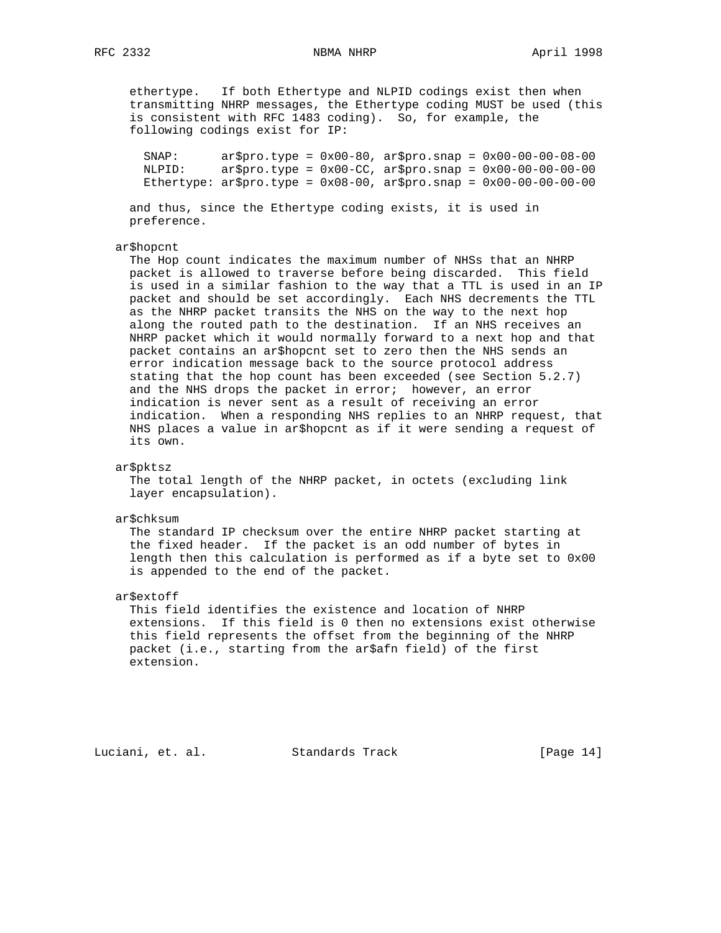ethertype. If both Ethertype and NLPID codings exist then when transmitting NHRP messages, the Ethertype coding MUST be used (this is consistent with RFC 1483 coding). So, for example, the following codings exist for IP:

 SNAP: ar\$pro.type = 0x00-80, ar\$pro.snap = 0x00-00-00-08-00 NLPID: ar\$pro.type = 0x00-CC, ar\$pro.snap = 0x00-00-00-00-00 Ethertype:  $ar$pro.type = 0x08-00, ar$pro.snap = 0x00-00-00-00$ 

 and thus, since the Ethertype coding exists, it is used in preference.

#### ar\$hopcnt

 The Hop count indicates the maximum number of NHSs that an NHRP packet is allowed to traverse before being discarded. This field is used in a similar fashion to the way that a TTL is used in an IP packet and should be set accordingly. Each NHS decrements the TTL as the NHRP packet transits the NHS on the way to the next hop along the routed path to the destination. If an NHS receives an NHRP packet which it would normally forward to a next hop and that packet contains an ar\$hopcnt set to zero then the NHS sends an error indication message back to the source protocol address stating that the hop count has been exceeded (see Section 5.2.7) and the NHS drops the packet in error; however, an error indication is never sent as a result of receiving an error indication. When a responding NHS replies to an NHRP request, that NHS places a value in ar\$hopcnt as if it were sending a request of its own.

# ar\$pktsz

 The total length of the NHRP packet, in octets (excluding link layer encapsulation).

#### ar\$chksum

 The standard IP checksum over the entire NHRP packet starting at the fixed header. If the packet is an odd number of bytes in length then this calculation is performed as if a byte set to 0x00 is appended to the end of the packet.

#### ar\$extoff

 This field identifies the existence and location of NHRP extensions. If this field is 0 then no extensions exist otherwise this field represents the offset from the beginning of the NHRP packet (i.e., starting from the ar\$afn field) of the first extension.

Luciani, et. al. Standards Track [Page 14]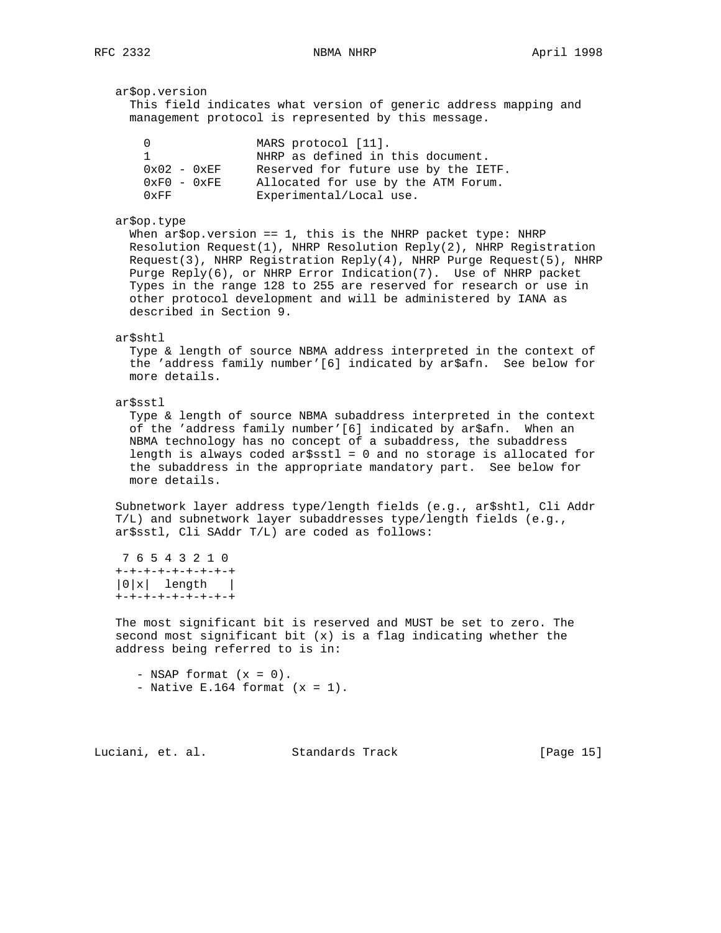ar\$op.version This field indicates what version of generic address mapping and management protocol is represented by this message. 0 MARS protocol [11]. 1 **1** NHRP as defined in this document. 0x02 - 0xEF Reserved for future use by the IETF. 0xF0 - 0xFE Allocated for use by the ATM Forum. 0xFF Experimental/Local use. ar\$op.type When  $ar5$ op.version == 1, this is the NHRP packet type: NHRP Resolution Request(1), NHRP Resolution Reply(2), NHRP Registration Request(3), NHRP Registration Reply(4), NHRP Purge Request(5), NHRP Purge Reply(6), or NHRP Error Indication(7). Use of NHRP packet Types in the range 128 to 255 are reserved for research or use in other protocol development and will be administered by IANA as described in Section 9. ar\$shtl Type & length of source NBMA address interpreted in the context of the 'address family number'[6] indicated by ar\$afn. See below for more details. ar\$sstl Type & length of source NBMA subaddress interpreted in the context of the 'address family number'[6] indicated by ar\$afn. When an NBMA technology has no concept of a subaddress, the subaddress length is always coded ar\$sstl = 0 and no storage is allocated for the subaddress in the appropriate mandatory part. See below for more details. Subnetwork layer address type/length fields (e.g., ar\$shtl, Cli Addr T/L) and subnetwork layer subaddresses type/length fields (e.g., ar\$sstl, Cli SAddr T/L) are coded as follows: 7 6 5 4 3 2 1 0 +-+-+-+-+-+-+-+-+ |0|x| length | +-+-+-+-+-+-+-+-+ The most significant bit is reserved and MUST be set to zero. The second most significant bit (x) is a flag indicating whether the address being referred to is in:  $-$  NSAP format  $(x = 0)$ . - Native E.164 format  $(x = 1)$ .

Luciani, et. al. Standards Track [Page 15]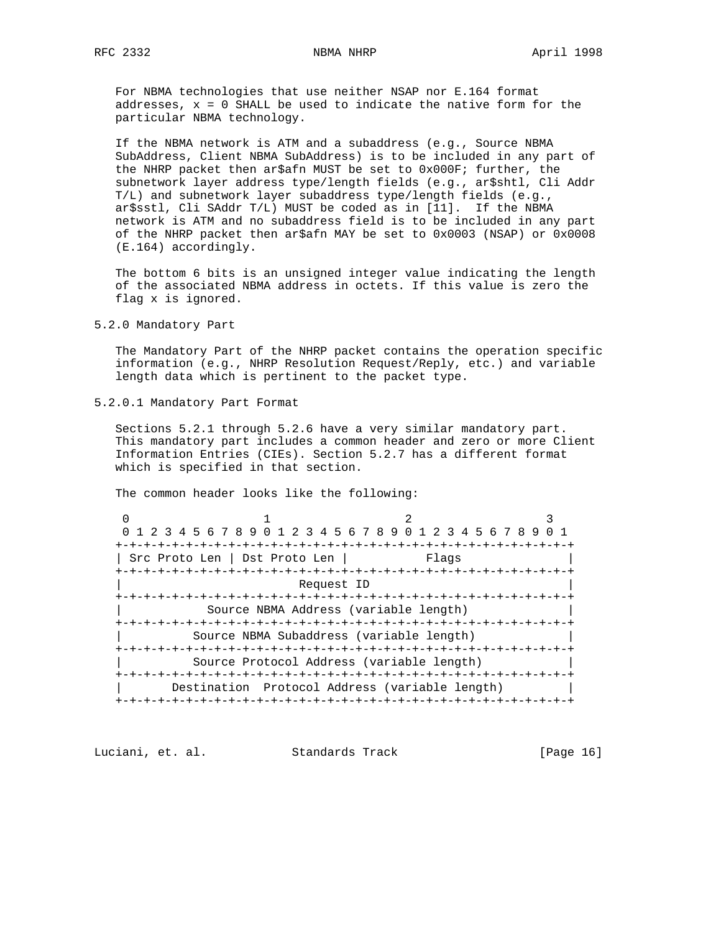For NBMA technologies that use neither NSAP nor E.164 format addresses, x = 0 SHALL be used to indicate the native form for the particular NBMA technology.

 If the NBMA network is ATM and a subaddress (e.g., Source NBMA SubAddress, Client NBMA SubAddress) is to be included in any part of the NHRP packet then ar\$afn MUST be set to 0x000F; further, the subnetwork layer address type/length fields (e.g., ar\$shtl, Cli Addr T/L) and subnetwork layer subaddress type/length fields (e.g., ar\$sstl, Cli SAddr T/L) MUST be coded as in [11]. If the NBMA network is ATM and no subaddress field is to be included in any part of the NHRP packet then ar\$afn MAY be set to 0x0003 (NSAP) or 0x0008 (E.164) accordingly.

 The bottom 6 bits is an unsigned integer value indicating the length of the associated NBMA address in octets. If this value is zero the flag x is ignored.

5.2.0 Mandatory Part

 The Mandatory Part of the NHRP packet contains the operation specific information (e.g., NHRP Resolution Request/Reply, etc.) and variable length data which is pertinent to the packet type.

5.2.0.1 Mandatory Part Format

 Sections 5.2.1 through 5.2.6 have a very similar mandatory part. This mandatory part includes a common header and zero or more Client Information Entries (CIEs). Section 5.2.7 has a different format which is specified in that section.

The common header looks like the following:

0  $1$  2 3 0 1 2 3 4 5 6 7 8 9 0 1 2 3 4 5 6 7 8 9 0 1 2 3 4 5 6 7 8 9 0 1 +-+-+-+-+-+-+-+-+-+-+-+-+-+-+-+-+-+-+-+-+-+-+-+-+-+-+-+-+-+-+-+-+ | Src Proto Len | Dst Proto Len | +-+-+-+-+-+-+-+-+-+-+-+-+-+-+-+-+-+-+-+-+-+-+-+-+-+-+-+-+-+-+-+-+ Request ID +-+-+-+-+-+-+-+-+-+-+-+-+-+-+-+-+-+-+-+-+-+-+-+-+-+-+-+-+-+-+-+-+ Source NBMA Address (variable length) +-+-+-+-+-+-+-+-+-+-+-+-+-+-+-+-+-+-+-+-+-+-+-+-+-+-+-+-+-+-+-+-+ Source NBMA Subaddress (variable length) +-+-+-+-+-+-+-+-+-+-+-+-+-+-+-+-+-+-+-+-+-+-+-+-+-+-+-+-+-+-+-+-+ Source Protocol Address (variable length) +-+-+-+-+-+-+-+-+-+-+-+-+-+-+-+-+-+-+-+-+-+-+-+-+-+-+-+-+-+-+-+-+ | Destination Protocol Address (variable length) | +-+-+-+-+-+-+-+-+-+-+-+-+-+-+-+-+-+-+-+-+-+-+-+-+-+-+-+-+-+-+-+-+

Luciani, et. al. Standards Track [Page 16]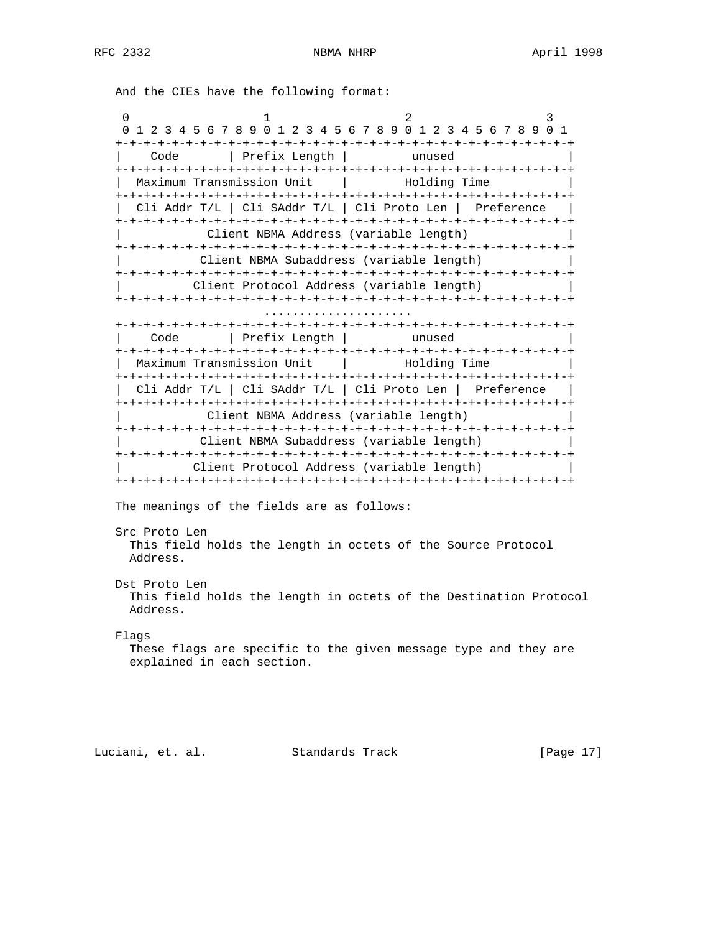And the CIEs have the following format:

0  $1$  2 3 0 1 2 3 4 5 6 7 8 9 0 1 2 3 4 5 6 7 8 9 0 1 2 3 4 5 6 7 8 9 0 1 +-+-+-+-+-+-+-+-+-+-+-+-+-+-+-+-+-+-+-+-+-+-+-+-+-+-+-+-+-+-+-+-+ | Code | Prefix Length | unused | +-+-+-+-+-+-+-+-+-+-+-+-+-+-+-+-+-+-+-+-+-+-+-+-+-+-+-+-+-+-+-+-+ Maximum Transmission Unit | Holding Time +-+-+-+-+-+-+-+-+-+-+-+-+-+-+-+-+-+-+-+-+-+-+-+-+-+-+-+-+-+-+-+-+ | Cli Addr T/L | Cli SAddr T/L | Cli Proto Len | Preference | +-+-+-+-+-+-+-+-+-+-+-+-+-+-+-+-+-+-+-+-+-+-+-+-+-+-+-+-+-+-+-+-+ Client NBMA Address (variable length) +-+-+-+-+-+-+-+-+-+-+-+-+-+-+-+-+-+-+-+-+-+-+-+-+-+-+-+-+-+-+-+-+ | Client NBMA Subaddress (variable length) | +-+-+-+-+-+-+-+-+-+-+-+-+-+-+-+-+-+-+-+-+-+-+-+-+-+-+-+-+-+-+-+-+ | Client Protocol Address (variable length) | +-+-+-+-+-+-+-+-+-+-+-+-+-+-+-+-+-+-+-+-+-+-+-+-+-+-+-+-+-+-+-+-+ ..................... +-+-+-+-+-+-+-+-+-+-+-+-+-+-+-+-+-+-+-+-+-+-+-+-+-+-+-+-+-+-+-+-+ | Code | Prefix Length | unused | +-+-+-+-+-+-+-+-+-+-+-+-+-+-+-+-+-+-+-+-+-+-+-+-+-+-+-+-+-+-+-+-+ | Maximum Transmission Unit | Holding Time +-+-+-+-+-+-+-+-+-+-+-+-+-+-+-+-+-+-+-+-+-+-+-+-+-+-+-+-+-+-+-+-+ | Cli Addr T/L | Cli SAddr T/L | Cli Proto Len | Preference | +-+-+-+-+-+-+-+-+-+-+-+-+-+-+-+-+-+-+-+-+-+-+-+-+-+-+-+-+-+-+-+-+ Client NBMA Address (variable length) +-+-+-+-+-+-+-+-+-+-+-+-+-+-+-+-+-+-+-+-+-+-+-+-+-+-+-+-+-+-+-+-+ | Client NBMA Subaddress (variable length) | +-+-+-+-+-+-+-+-+-+-+-+-+-+-+-+-+-+-+-+-+-+-+-+-+-+-+-+-+-+-+-+-+ Client Protocol Address (variable length) +-+-+-+-+-+-+-+-+-+-+-+-+-+-+-+-+-+-+-+-+-+-+-+-+-+-+-+-+-+-+-+-+ The meanings of the fields are as follows: Src Proto Len This field holds the length in octets of the Source Protocol Address. Dst Proto Len This field holds the length in octets of the Destination Protocol Address. Flags These flags are specific to the given message type and they are explained in each section.

Luciani, et. al. Standards Track [Page 17]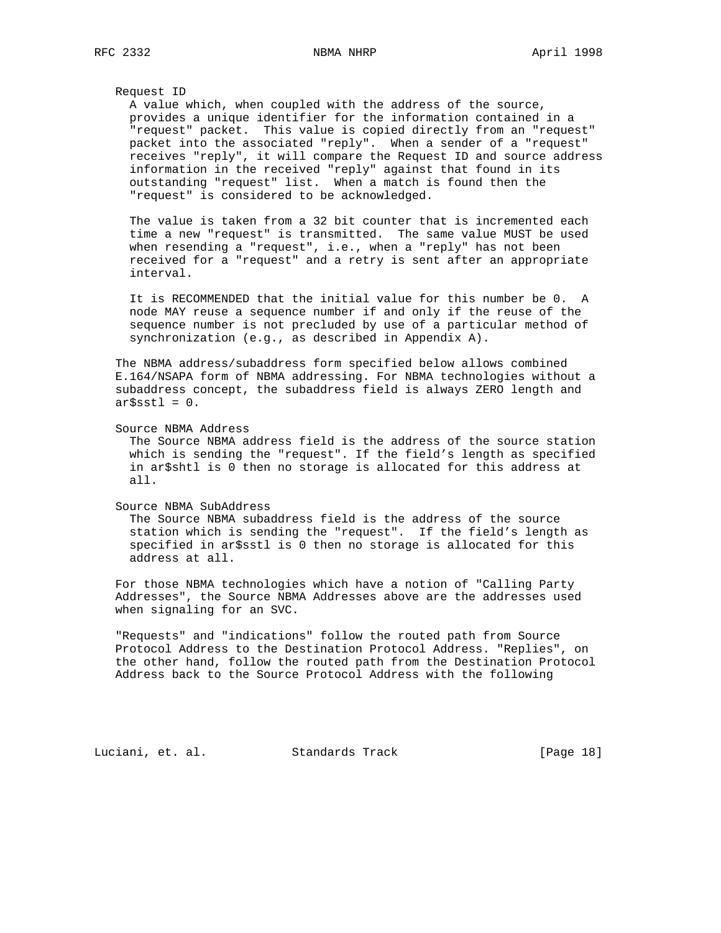#### Request ID

 A value which, when coupled with the address of the source, provides a unique identifier for the information contained in a "request" packet. This value is copied directly from an "request" packet into the associated "reply". When a sender of a "request" receives "reply", it will compare the Request ID and source address information in the received "reply" against that found in its outstanding "request" list. When a match is found then the "request" is considered to be acknowledged.

 The value is taken from a 32 bit counter that is incremented each time a new "request" is transmitted. The same value MUST be used when resending a "request", i.e., when a "reply" has not been received for a "request" and a retry is sent after an appropriate interval.

 It is RECOMMENDED that the initial value for this number be 0. A node MAY reuse a sequence number if and only if the reuse of the sequence number is not precluded by use of a particular method of synchronization (e.g., as described in Appendix A).

 The NBMA address/subaddress form specified below allows combined E.164/NSAPA form of NBMA addressing. For NBMA technologies without a subaddress concept, the subaddress field is always ZERO length and  $ar$ \$sstl =  $0$ .

Source NBMA Address

 The Source NBMA address field is the address of the source station which is sending the "request". If the field's length as specified in ar\$shtl is 0 then no storage is allocated for this address at all.

Source NBMA SubAddress

 The Source NBMA subaddress field is the address of the source station which is sending the "request". If the field's length as specified in ar\$sstl is 0 then no storage is allocated for this address at all.

 For those NBMA technologies which have a notion of "Calling Party Addresses", the Source NBMA Addresses above are the addresses used when signaling for an SVC.

 "Requests" and "indications" follow the routed path from Source Protocol Address to the Destination Protocol Address. "Replies", on the other hand, follow the routed path from the Destination Protocol Address back to the Source Protocol Address with the following

Luciani, et. al. Standards Track [Page 18]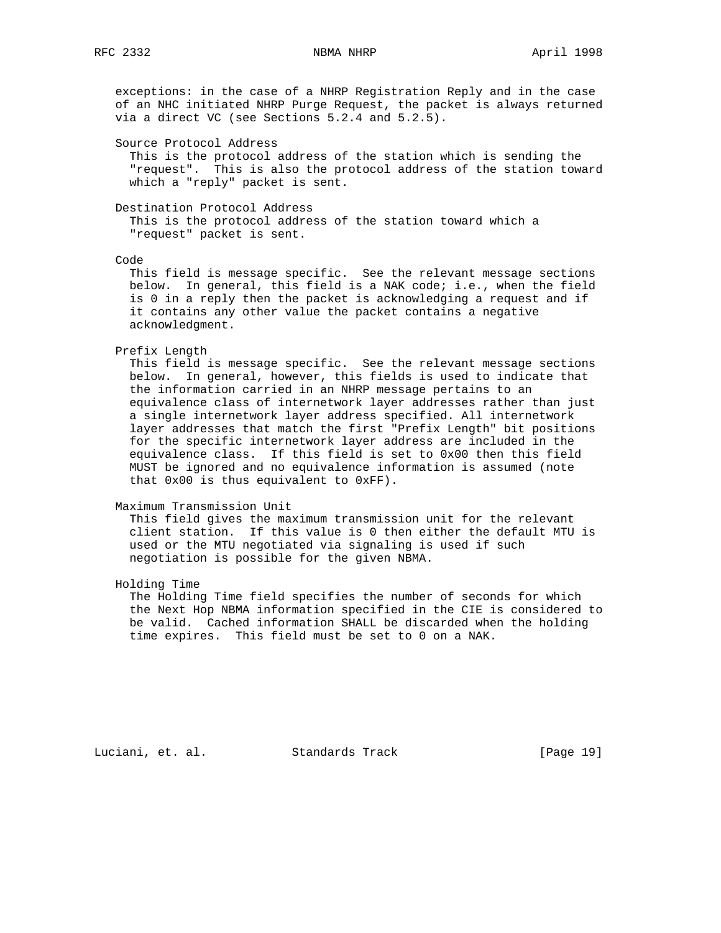exceptions: in the case of a NHRP Registration Reply and in the case of an NHC initiated NHRP Purge Request, the packet is always returned via a direct VC (see Sections 5.2.4 and 5.2.5).

Source Protocol Address

 This is the protocol address of the station which is sending the "request". This is also the protocol address of the station toward which a "reply" packet is sent.

Destination Protocol Address

 This is the protocol address of the station toward which a "request" packet is sent.

Code

 This field is message specific. See the relevant message sections below. In general, this field is a NAK code; i.e., when the field is 0 in a reply then the packet is acknowledging a request and if it contains any other value the packet contains a negative acknowledgment.

Prefix Length

 This field is message specific. See the relevant message sections below. In general, however, this fields is used to indicate that the information carried in an NHRP message pertains to an equivalence class of internetwork layer addresses rather than just a single internetwork layer address specified. All internetwork layer addresses that match the first "Prefix Length" bit positions for the specific internetwork layer address are included in the equivalence class. If this field is set to 0x00 then this field MUST be ignored and no equivalence information is assumed (note that 0x00 is thus equivalent to 0xFF).

Maximum Transmission Unit

 This field gives the maximum transmission unit for the relevant client station. If this value is 0 then either the default MTU is used or the MTU negotiated via signaling is used if such negotiation is possible for the given NBMA.

Holding Time

 The Holding Time field specifies the number of seconds for which the Next Hop NBMA information specified in the CIE is considered to be valid. Cached information SHALL be discarded when the holding time expires. This field must be set to 0 on a NAK.

Luciani, et. al. Standards Track [Page 19]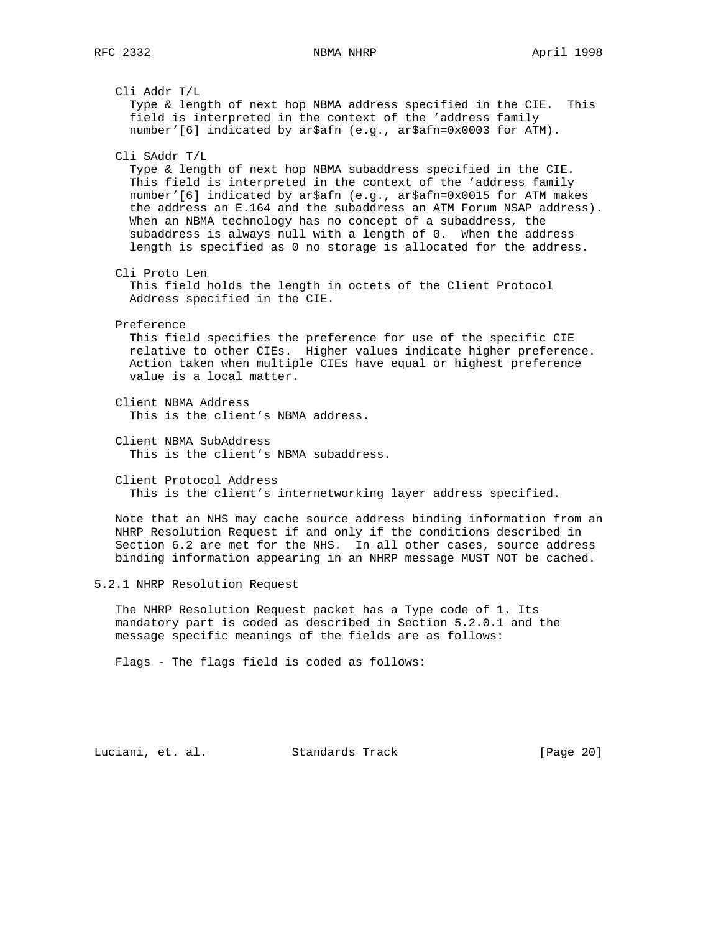Cli Addr T/L Type & length of next hop NBMA address specified in the CIE. This field is interpreted in the context of the 'address family number'[6] indicated by ar\$afn (e.g., ar\$afn=0x0003 for ATM). Cli SAddr T/L Type & length of next hop NBMA subaddress specified in the CIE. This field is interpreted in the context of the 'address family number'[6] indicated by ar\$afn (e.g., ar\$afn=0x0015 for ATM makes the address an E.164 and the subaddress an ATM Forum NSAP address). When an NBMA technology has no concept of a subaddress, the subaddress is always null with a length of 0. When the address length is specified as 0 no storage is allocated for the address. Cli Proto Len This field holds the length in octets of the Client Protocol Address specified in the CIE. Preference This field specifies the preference for use of the specific CIE relative to other CIEs. Higher values indicate higher preference. Action taken when multiple CIEs have equal or highest preference value is a local matter. Client NBMA Address This is the client's NBMA address. Client NBMA SubAddress This is the client's NBMA subaddress. Client Protocol Address This is the client's internetworking layer address specified. Note that an NHS may cache source address binding information from an NHRP Resolution Request if and only if the conditions described in Section 6.2 are met for the NHS. In all other cases, source address binding information appearing in an NHRP message MUST NOT be cached. 5.2.1 NHRP Resolution Request The NHRP Resolution Request packet has a Type code of 1. Its mandatory part is coded as described in Section 5.2.0.1 and the message specific meanings of the fields are as follows: Flags - The flags field is coded as follows:

Luciani, et. al. Standards Track [Page 20]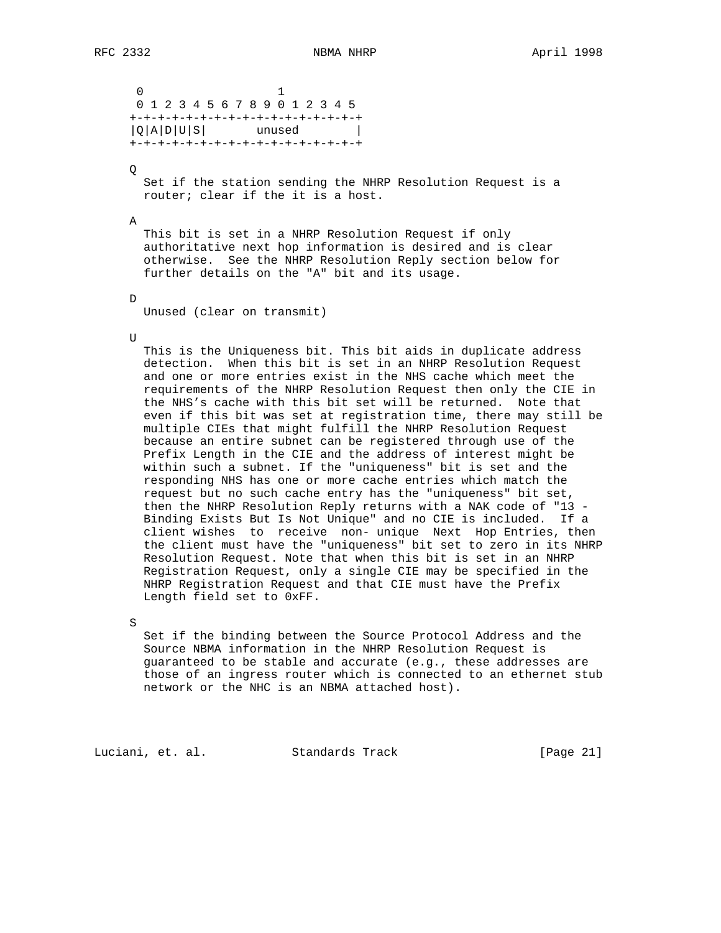0 1 0 1 2 3 4 5 6 7 8 9 0 1 2 3 4 5 +-+-+-+-+-+-+-+-+-+-+-+-+-+-+-+-+  $|Q|A|D|U|S|$  unused | +-+-+-+-+-+-+-+-+-+-+-+-+-+-+-+-+ Q Set if the station sending the NHRP Resolution Request is a router; clear if the it is a host. A This bit is set in a NHRP Resolution Request if only authoritative next hop information is desired and is clear otherwise. See the NHRP Resolution Reply section below for further details on the "A" bit and its usage. D Unused (clear on transmit) U This is the Uniqueness bit. This bit aids in duplicate address detection. When this bit is set in an NHRP Resolution Request and one or more entries exist in the NHS cache which meet the requirements of the NHRP Resolution Request then only the CIE in the NHS's cache with this bit set will be returned. Note that even if this bit was set at registration time, there may still be multiple CIEs that might fulfill the NHRP Resolution Request because an entire subnet can be registered through use of the Prefix Length in the CIE and the address of interest might be within such a subnet. If the "uniqueness" bit is set and the responding NHS has one or more cache entries which match the request but no such cache entry has the "uniqueness" bit set, then the NHRP Resolution Reply returns with a NAK code of "13 - Binding Exists But Is Not Unique" and no CIE is included. If a client wishes to receive non- unique Next Hop Entries, then the client must have the "uniqueness" bit set to zero in its NHRP Resolution Request. Note that when this bit is set in an NHRP Registration Request, only a single CIE may be specified in the NHRP Registration Request and that CIE must have the Prefix Length field set to 0xFF.

S

 Set if the binding between the Source Protocol Address and the Source NBMA information in the NHRP Resolution Request is guaranteed to be stable and accurate (e.g., these addresses are those of an ingress router which is connected to an ethernet stub network or the NHC is an NBMA attached host).

Luciani, et. al. Standards Track [Page 21]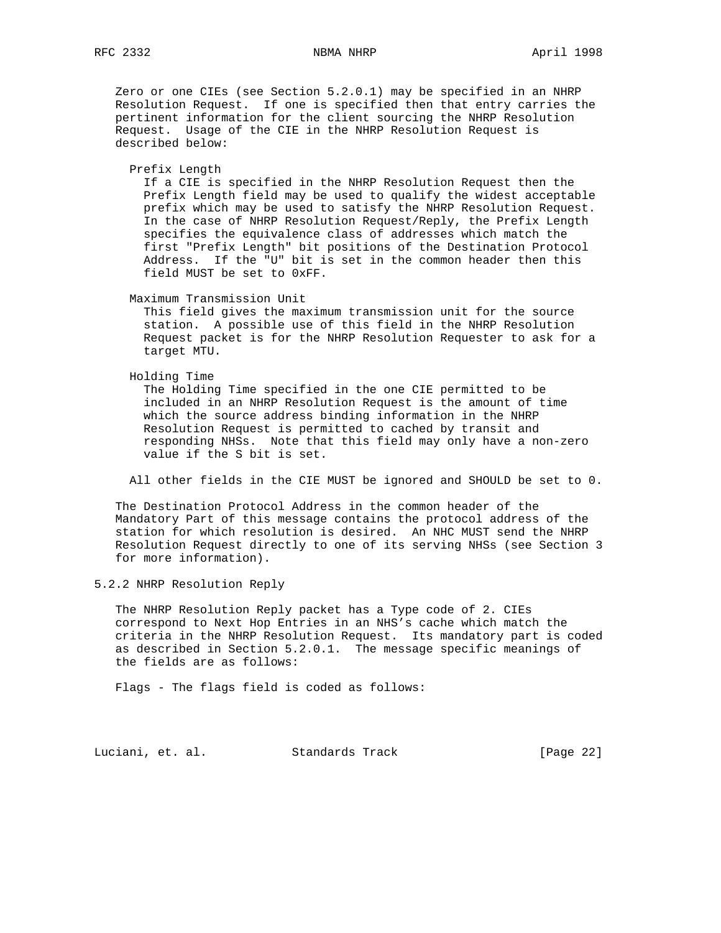Zero or one CIEs (see Section 5.2.0.1) may be specified in an NHRP Resolution Request. If one is specified then that entry carries the pertinent information for the client sourcing the NHRP Resolution Request. Usage of the CIE in the NHRP Resolution Request is described below:

### Prefix Length

 If a CIE is specified in the NHRP Resolution Request then the Prefix Length field may be used to qualify the widest acceptable prefix which may be used to satisfy the NHRP Resolution Request. In the case of NHRP Resolution Request/Reply, the Prefix Length specifies the equivalence class of addresses which match the first "Prefix Length" bit positions of the Destination Protocol Address. If the "U" bit is set in the common header then this field MUST be set to 0xFF.

Maximum Transmission Unit

 This field gives the maximum transmission unit for the source station. A possible use of this field in the NHRP Resolution Request packet is for the NHRP Resolution Requester to ask for a target MTU.

## Holding Time

 The Holding Time specified in the one CIE permitted to be included in an NHRP Resolution Request is the amount of time which the source address binding information in the NHRP Resolution Request is permitted to cached by transit and responding NHSs. Note that this field may only have a non-zero value if the S bit is set.

All other fields in the CIE MUST be ignored and SHOULD be set to 0.

 The Destination Protocol Address in the common header of the Mandatory Part of this message contains the protocol address of the station for which resolution is desired. An NHC MUST send the NHRP Resolution Request directly to one of its serving NHSs (see Section 3 for more information).

5.2.2 NHRP Resolution Reply

 The NHRP Resolution Reply packet has a Type code of 2. CIEs correspond to Next Hop Entries in an NHS's cache which match the criteria in the NHRP Resolution Request. Its mandatory part is coded as described in Section 5.2.0.1. The message specific meanings of the fields are as follows:

Flags - The flags field is coded as follows:

Luciani, et. al. Standards Track [Page 22]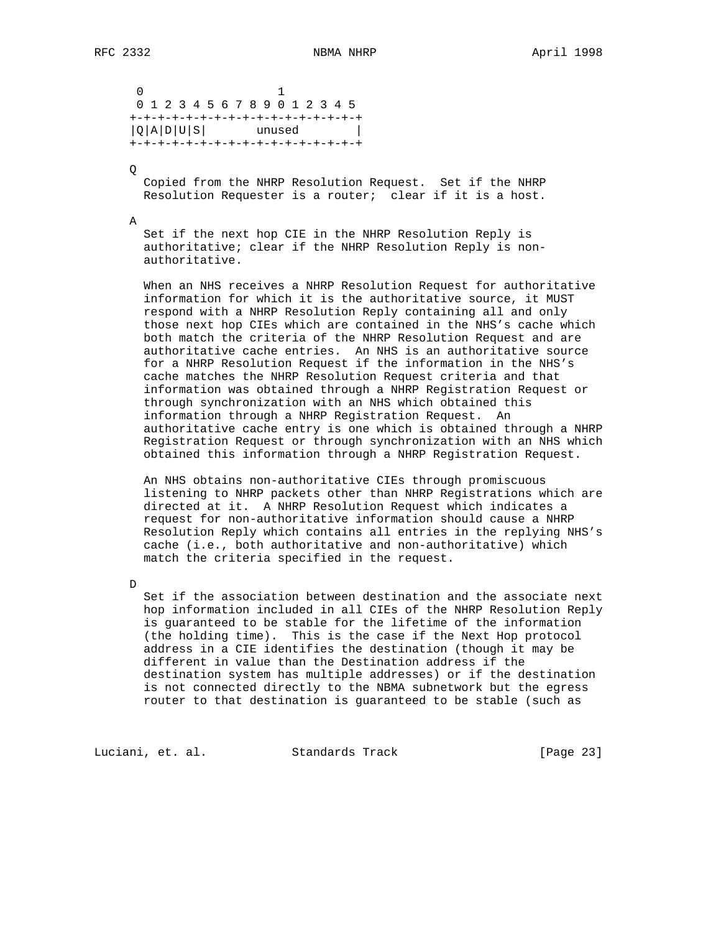0 1 0 1 2 3 4 5 6 7 8 9 0 1 2 3 4 5 +-+-+-+-+-+-+-+-+-+-+-+-+-+-+-+-+  $|Q|A|D|U|S|$  unused | +-+-+-+-+-+-+-+-+-+-+-+-+-+-+-+-+

Q

 Copied from the NHRP Resolution Request. Set if the NHRP Resolution Requester is a router; clear if it is a host.

A

 Set if the next hop CIE in the NHRP Resolution Reply is authoritative; clear if the NHRP Resolution Reply is non authoritative.

 When an NHS receives a NHRP Resolution Request for authoritative information for which it is the authoritative source, it MUST respond with a NHRP Resolution Reply containing all and only those next hop CIEs which are contained in the NHS's cache which both match the criteria of the NHRP Resolution Request and are authoritative cache entries. An NHS is an authoritative source for a NHRP Resolution Request if the information in the NHS's cache matches the NHRP Resolution Request criteria and that information was obtained through a NHRP Registration Request or through synchronization with an NHS which obtained this information through a NHRP Registration Request. An authoritative cache entry is one which is obtained through a NHRP Registration Request or through synchronization with an NHS which obtained this information through a NHRP Registration Request.

 An NHS obtains non-authoritative CIEs through promiscuous listening to NHRP packets other than NHRP Registrations which are directed at it. A NHRP Resolution Request which indicates a request for non-authoritative information should cause a NHRP Resolution Reply which contains all entries in the replying NHS's cache (i.e., both authoritative and non-authoritative) which match the criteria specified in the request.

D

 Set if the association between destination and the associate next hop information included in all CIEs of the NHRP Resolution Reply is guaranteed to be stable for the lifetime of the information (the holding time). This is the case if the Next Hop protocol address in a CIE identifies the destination (though it may be different in value than the Destination address if the destination system has multiple addresses) or if the destination is not connected directly to the NBMA subnetwork but the egress router to that destination is guaranteed to be stable (such as

Luciani, et. al. Standards Track [Page 23]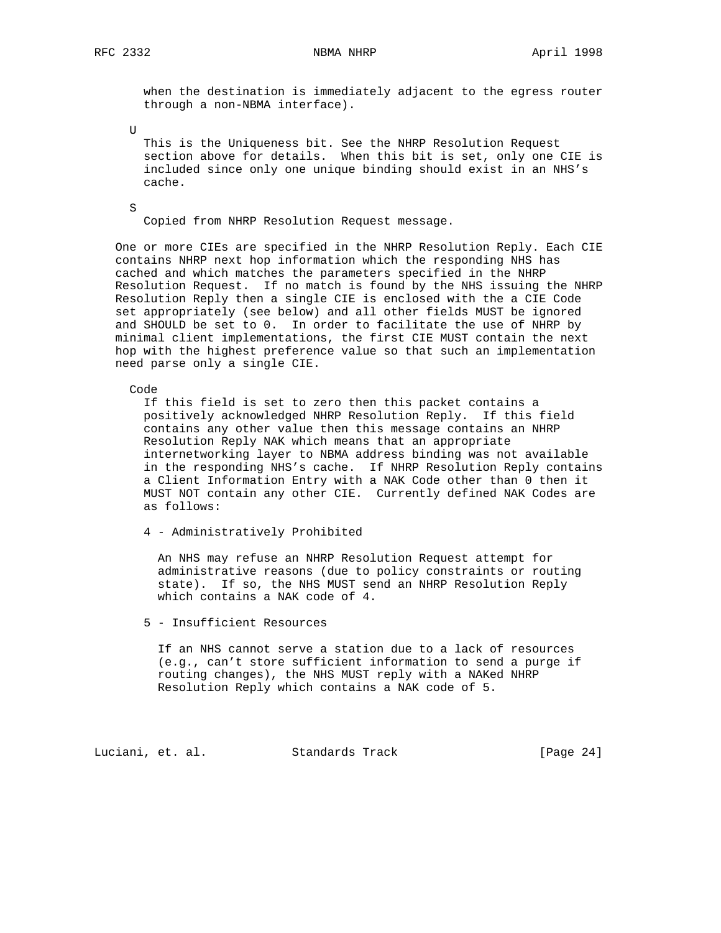when the destination is immediately adjacent to the egress router through a non-NBMA interface).

U

 This is the Uniqueness bit. See the NHRP Resolution Request section above for details. When this bit is set, only one CIE is included since only one unique binding should exist in an NHS's cache.

S

Copied from NHRP Resolution Request message.

 One or more CIEs are specified in the NHRP Resolution Reply. Each CIE contains NHRP next hop information which the responding NHS has cached and which matches the parameters specified in the NHRP Resolution Request. If no match is found by the NHS issuing the NHRP Resolution Reply then a single CIE is enclosed with the a CIE Code set appropriately (see below) and all other fields MUST be ignored and SHOULD be set to 0. In order to facilitate the use of NHRP by minimal client implementations, the first CIE MUST contain the next hop with the highest preference value so that such an implementation need parse only a single CIE.

Code

 If this field is set to zero then this packet contains a positively acknowledged NHRP Resolution Reply. If this field contains any other value then this message contains an NHRP Resolution Reply NAK which means that an appropriate internetworking layer to NBMA address binding was not available in the responding NHS's cache. If NHRP Resolution Reply contains a Client Information Entry with a NAK Code other than 0 then it MUST NOT contain any other CIE. Currently defined NAK Codes are as follows:

4 - Administratively Prohibited

 An NHS may refuse an NHRP Resolution Request attempt for administrative reasons (due to policy constraints or routing state). If so, the NHS MUST send an NHRP Resolution Reply which contains a NAK code of 4.

5 - Insufficient Resources

 If an NHS cannot serve a station due to a lack of resources (e.g., can't store sufficient information to send a purge if routing changes), the NHS MUST reply with a NAKed NHRP Resolution Reply which contains a NAK code of 5.

Luciani, et. al. Standards Track [Page 24]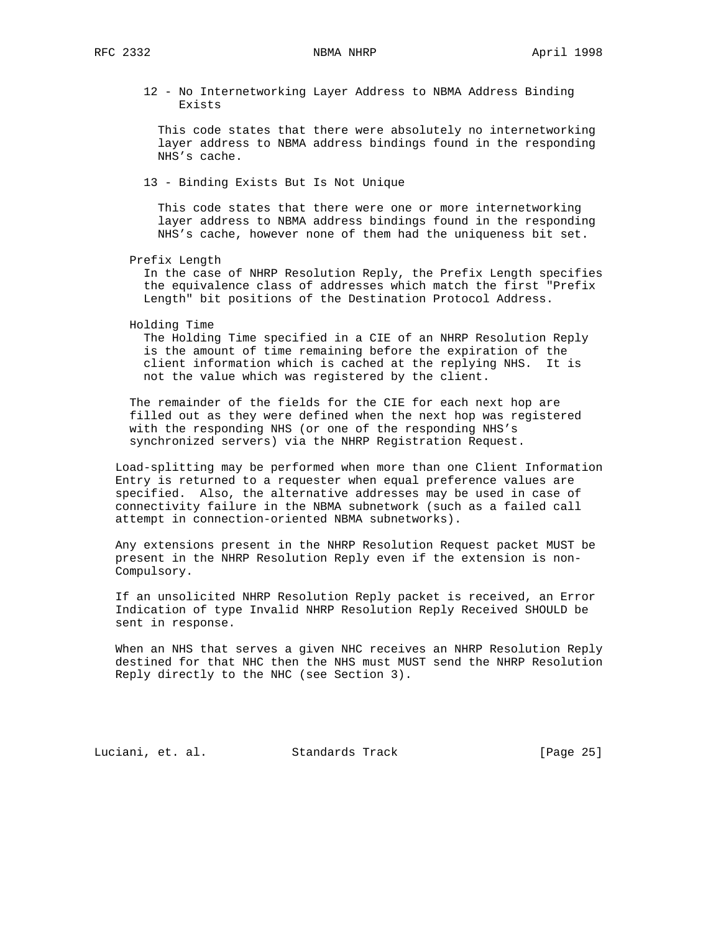12 - No Internetworking Layer Address to NBMA Address Binding Exists

 This code states that there were absolutely no internetworking layer address to NBMA address bindings found in the responding NHS's cache.

13 - Binding Exists But Is Not Unique

 This code states that there were one or more internetworking layer address to NBMA address bindings found in the responding NHS's cache, however none of them had the uniqueness bit set.

Prefix Length

 In the case of NHRP Resolution Reply, the Prefix Length specifies the equivalence class of addresses which match the first "Prefix Length" bit positions of the Destination Protocol Address.

Holding Time

 The Holding Time specified in a CIE of an NHRP Resolution Reply is the amount of time remaining before the expiration of the client information which is cached at the replying NHS. It is not the value which was registered by the client.

 The remainder of the fields for the CIE for each next hop are filled out as they were defined when the next hop was registered with the responding NHS (or one of the responding NHS's synchronized servers) via the NHRP Registration Request.

 Load-splitting may be performed when more than one Client Information Entry is returned to a requester when equal preference values are specified. Also, the alternative addresses may be used in case of connectivity failure in the NBMA subnetwork (such as a failed call attempt in connection-oriented NBMA subnetworks).

 Any extensions present in the NHRP Resolution Request packet MUST be present in the NHRP Resolution Reply even if the extension is non- Compulsory.

 If an unsolicited NHRP Resolution Reply packet is received, an Error Indication of type Invalid NHRP Resolution Reply Received SHOULD be sent in response.

 When an NHS that serves a given NHC receives an NHRP Resolution Reply destined for that NHC then the NHS must MUST send the NHRP Resolution Reply directly to the NHC (see Section 3).

Luciani, et. al. Standards Track [Page 25]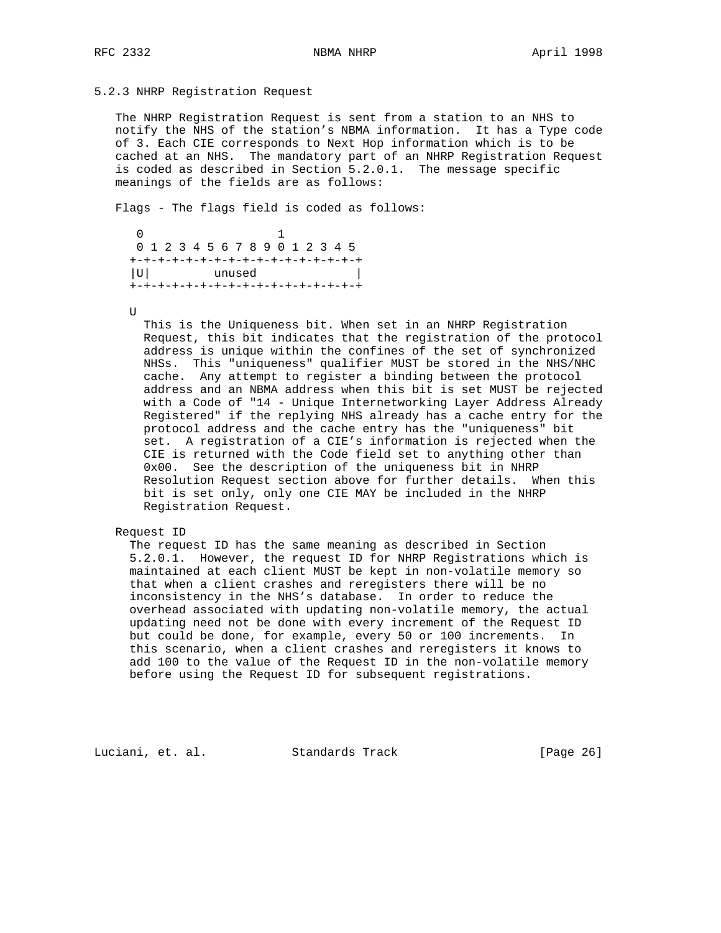## 5.2.3 NHRP Registration Request

 The NHRP Registration Request is sent from a station to an NHS to notify the NHS of the station's NBMA information. It has a Type code of 3. Each CIE corresponds to Next Hop information which is to be cached at an NHS. The mandatory part of an NHRP Registration Request is coded as described in Section 5.2.0.1. The message specific meanings of the fields are as follows:

Flags - The flags field is coded as follows:

```
\begin{array}{ccc} 0 & 1 \end{array} 0 1 2 3 4 5 6 7 8 9 0 1 2 3 4 5
 +-+-+-+-+-+-+-+-+-+-+-+-+-+-+-+-+
 |U| unused |
 +-+-+-+-+-+-+-+-+-+-+-+-+-+-+-+-+
```
U

 This is the Uniqueness bit. When set in an NHRP Registration Request, this bit indicates that the registration of the protocol address is unique within the confines of the set of synchronized NHSs. This "uniqueness" qualifier MUST be stored in the NHS/NHC cache. Any attempt to register a binding between the protocol address and an NBMA address when this bit is set MUST be rejected with a Code of "14 - Unique Internetworking Layer Address Already Registered" if the replying NHS already has a cache entry for the protocol address and the cache entry has the "uniqueness" bit set. A registration of a CIE's information is rejected when the CIE is returned with the Code field set to anything other than 0x00. See the description of the uniqueness bit in NHRP Resolution Request section above for further details. When this bit is set only, only one CIE MAY be included in the NHRP Registration Request.

## Request ID

 The request ID has the same meaning as described in Section 5.2.0.1. However, the request ID for NHRP Registrations which is maintained at each client MUST be kept in non-volatile memory so that when a client crashes and reregisters there will be no inconsistency in the NHS's database. In order to reduce the overhead associated with updating non-volatile memory, the actual updating need not be done with every increment of the Request ID but could be done, for example, every 50 or 100 increments. In this scenario, when a client crashes and reregisters it knows to add 100 to the value of the Request ID in the non-volatile memory before using the Request ID for subsequent registrations.

Luciani, et. al. Standards Track [Page 26]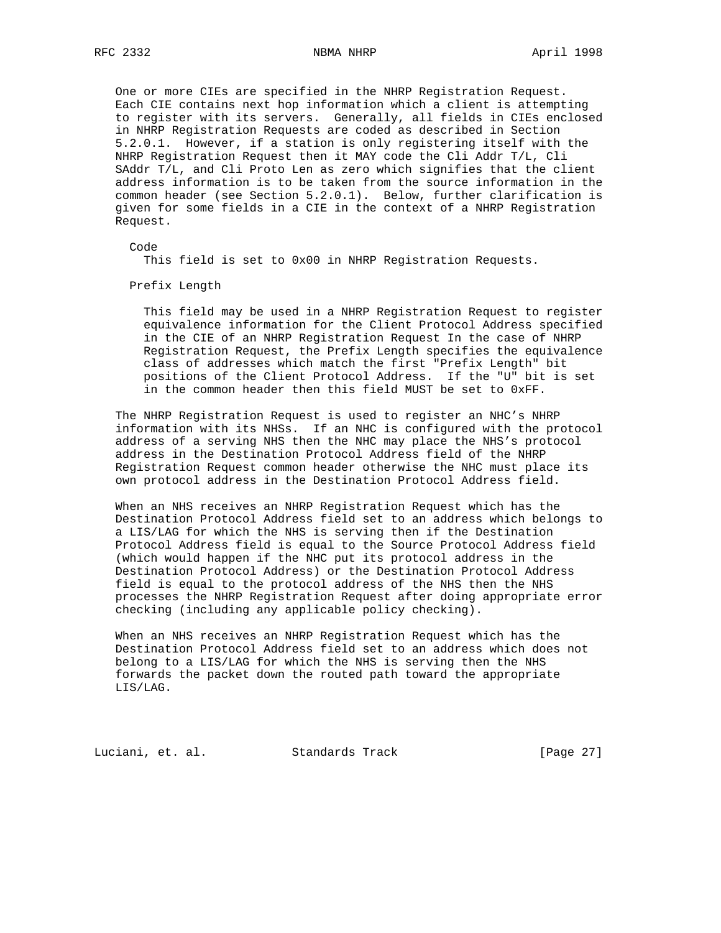One or more CIEs are specified in the NHRP Registration Request. Each CIE contains next hop information which a client is attempting to register with its servers. Generally, all fields in CIEs enclosed in NHRP Registration Requests are coded as described in Section 5.2.0.1. However, if a station is only registering itself with the NHRP Registration Request then it MAY code the Cli Addr T/L, Cli SAddr T/L, and Cli Proto Len as zero which signifies that the client address information is to be taken from the source information in the common header (see Section 5.2.0.1). Below, further clarification is given for some fields in a CIE in the context of a NHRP Registration Request.

Code

This field is set to 0x00 in NHRP Registration Requests.

Prefix Length

 This field may be used in a NHRP Registration Request to register equivalence information for the Client Protocol Address specified in the CIE of an NHRP Registration Request In the case of NHRP Registration Request, the Prefix Length specifies the equivalence class of addresses which match the first "Prefix Length" bit positions of the Client Protocol Address. If the "U" bit is set in the common header then this field MUST be set to 0xFF.

 The NHRP Registration Request is used to register an NHC's NHRP information with its NHSs. If an NHC is configured with the protocol address of a serving NHS then the NHC may place the NHS's protocol address in the Destination Protocol Address field of the NHRP Registration Request common header otherwise the NHC must place its own protocol address in the Destination Protocol Address field.

 When an NHS receives an NHRP Registration Request which has the Destination Protocol Address field set to an address which belongs to a LIS/LAG for which the NHS is serving then if the Destination Protocol Address field is equal to the Source Protocol Address field (which would happen if the NHC put its protocol address in the Destination Protocol Address) or the Destination Protocol Address field is equal to the protocol address of the NHS then the NHS processes the NHRP Registration Request after doing appropriate error checking (including any applicable policy checking).

 When an NHS receives an NHRP Registration Request which has the Destination Protocol Address field set to an address which does not belong to a LIS/LAG for which the NHS is serving then the NHS forwards the packet down the routed path toward the appropriate LIS/LAG.

Luciani, et. al. Standards Track [Page 27]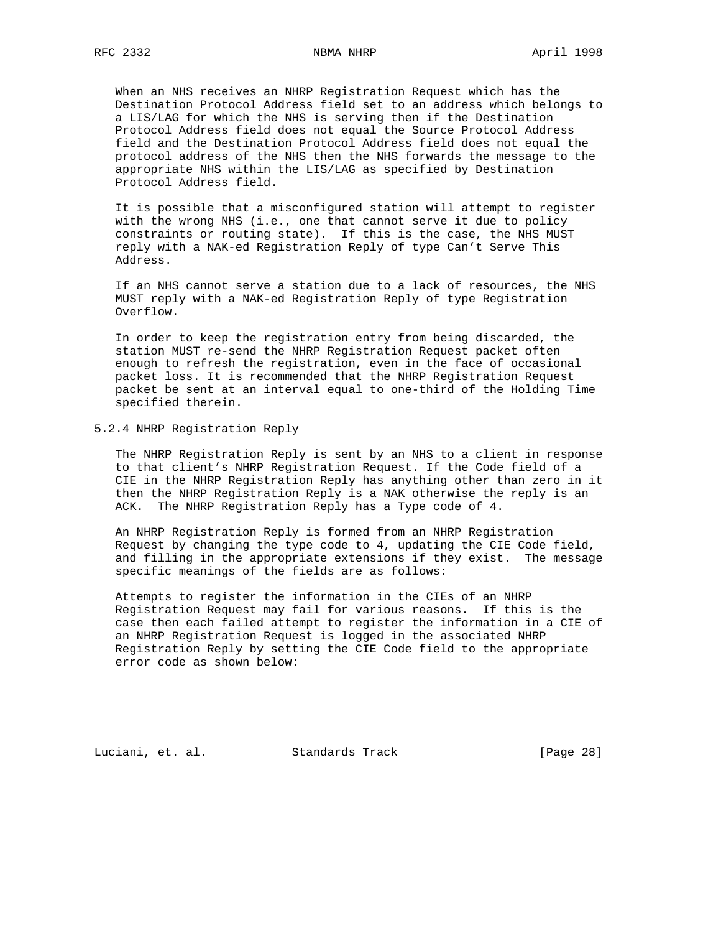When an NHS receives an NHRP Registration Request which has the Destination Protocol Address field set to an address which belongs to a LIS/LAG for which the NHS is serving then if the Destination Protocol Address field does not equal the Source Protocol Address field and the Destination Protocol Address field does not equal the protocol address of the NHS then the NHS forwards the message to the appropriate NHS within the LIS/LAG as specified by Destination Protocol Address field.

 It is possible that a misconfigured station will attempt to register with the wrong NHS (i.e., one that cannot serve it due to policy constraints or routing state). If this is the case, the NHS MUST reply with a NAK-ed Registration Reply of type Can't Serve This Address.

 If an NHS cannot serve a station due to a lack of resources, the NHS MUST reply with a NAK-ed Registration Reply of type Registration Overflow.

 In order to keep the registration entry from being discarded, the station MUST re-send the NHRP Registration Request packet often enough to refresh the registration, even in the face of occasional packet loss. It is recommended that the NHRP Registration Request packet be sent at an interval equal to one-third of the Holding Time specified therein.

## 5.2.4 NHRP Registration Reply

 The NHRP Registration Reply is sent by an NHS to a client in response to that client's NHRP Registration Request. If the Code field of a CIE in the NHRP Registration Reply has anything other than zero in it then the NHRP Registration Reply is a NAK otherwise the reply is an ACK. The NHRP Registration Reply has a Type code of 4.

 An NHRP Registration Reply is formed from an NHRP Registration Request by changing the type code to 4, updating the CIE Code field, and filling in the appropriate extensions if they exist. The message specific meanings of the fields are as follows:

 Attempts to register the information in the CIEs of an NHRP Registration Request may fail for various reasons. If this is the case then each failed attempt to register the information in a CIE of an NHRP Registration Request is logged in the associated NHRP Registration Reply by setting the CIE Code field to the appropriate error code as shown below:

Luciani, et. al. Standards Track [Page 28]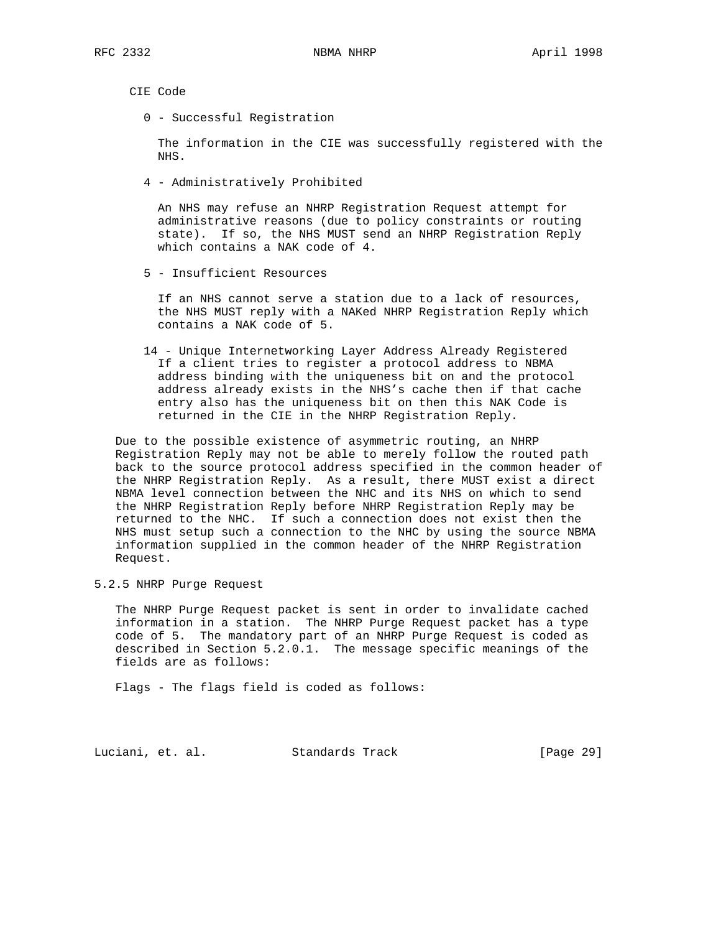CIE Code

0 - Successful Registration

 The information in the CIE was successfully registered with the NHS.

4 - Administratively Prohibited

 An NHS may refuse an NHRP Registration Request attempt for administrative reasons (due to policy constraints or routing state). If so, the NHS MUST send an NHRP Registration Reply which contains a NAK code of 4.

5 - Insufficient Resources

 If an NHS cannot serve a station due to a lack of resources, the NHS MUST reply with a NAKed NHRP Registration Reply which contains a NAK code of 5.

 14 - Unique Internetworking Layer Address Already Registered If a client tries to register a protocol address to NBMA address binding with the uniqueness bit on and the protocol address already exists in the NHS's cache then if that cache entry also has the uniqueness bit on then this NAK Code is returned in the CIE in the NHRP Registration Reply.

 Due to the possible existence of asymmetric routing, an NHRP Registration Reply may not be able to merely follow the routed path back to the source protocol address specified in the common header of the NHRP Registration Reply. As a result, there MUST exist a direct NBMA level connection between the NHC and its NHS on which to send the NHRP Registration Reply before NHRP Registration Reply may be returned to the NHC. If such a connection does not exist then the NHS must setup such a connection to the NHC by using the source NBMA information supplied in the common header of the NHRP Registration Request.

5.2.5 NHRP Purge Request

 The NHRP Purge Request packet is sent in order to invalidate cached information in a station. The NHRP Purge Request packet has a type code of 5. The mandatory part of an NHRP Purge Request is coded as described in Section 5.2.0.1. The message specific meanings of the fields are as follows:

Flags - The flags field is coded as follows:

Luciani, et. al. Standards Track [Page 29]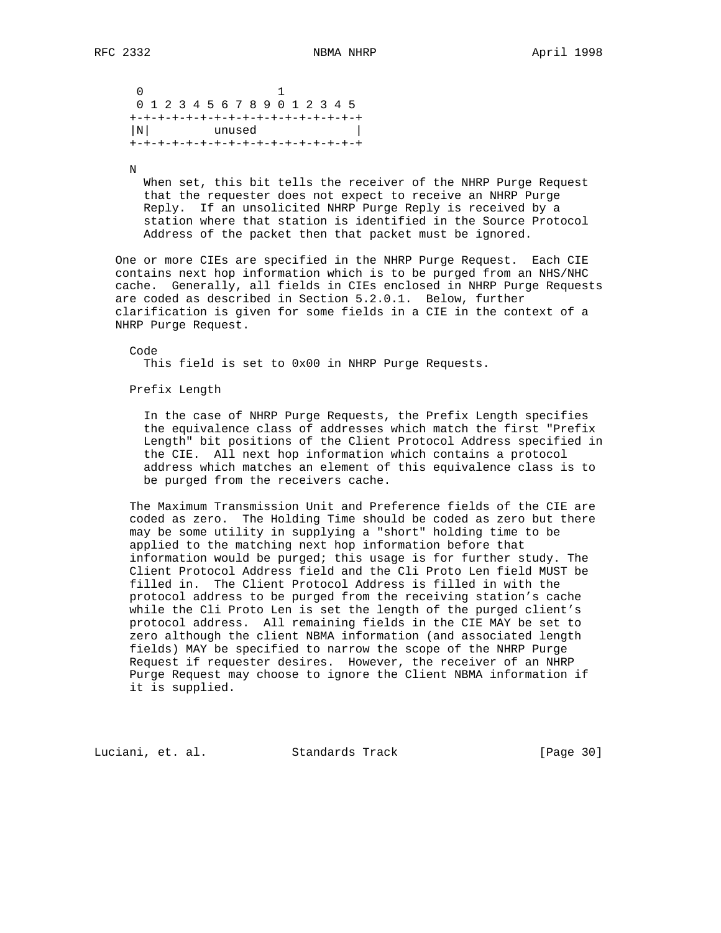0 1 0 1 2 3 4 5 6 7 8 9 0 1 2 3 4 5 +-+-+-+-+-+-+-+-+-+-+-+-+-+-+-+-+ |N| unused | +-+-+-+-+-+-+-+-+-+-+-+-+-+-+-+-+

N

 When set, this bit tells the receiver of the NHRP Purge Request that the requester does not expect to receive an NHRP Purge Reply. If an unsolicited NHRP Purge Reply is received by a station where that station is identified in the Source Protocol Address of the packet then that packet must be ignored.

 One or more CIEs are specified in the NHRP Purge Request. Each CIE contains next hop information which is to be purged from an NHS/NHC cache. Generally, all fields in CIEs enclosed in NHRP Purge Requests are coded as described in Section 5.2.0.1. Below, further clarification is given for some fields in a CIE in the context of a NHRP Purge Request.

 Code This field is set to 0x00 in NHRP Purge Requests.

Prefix Length

 In the case of NHRP Purge Requests, the Prefix Length specifies the equivalence class of addresses which match the first "Prefix Length" bit positions of the Client Protocol Address specified in the CIE. All next hop information which contains a protocol address which matches an element of this equivalence class is to be purged from the receivers cache.

 The Maximum Transmission Unit and Preference fields of the CIE are coded as zero. The Holding Time should be coded as zero but there may be some utility in supplying a "short" holding time to be applied to the matching next hop information before that information would be purged; this usage is for further study. The Client Protocol Address field and the Cli Proto Len field MUST be filled in. The Client Protocol Address is filled in with the protocol address to be purged from the receiving station's cache while the Cli Proto Len is set the length of the purged client's protocol address. All remaining fields in the CIE MAY be set to zero although the client NBMA information (and associated length fields) MAY be specified to narrow the scope of the NHRP Purge Request if requester desires. However, the receiver of an NHRP Purge Request may choose to ignore the Client NBMA information if it is supplied.

Luciani, et. al. Standards Track [Page 30]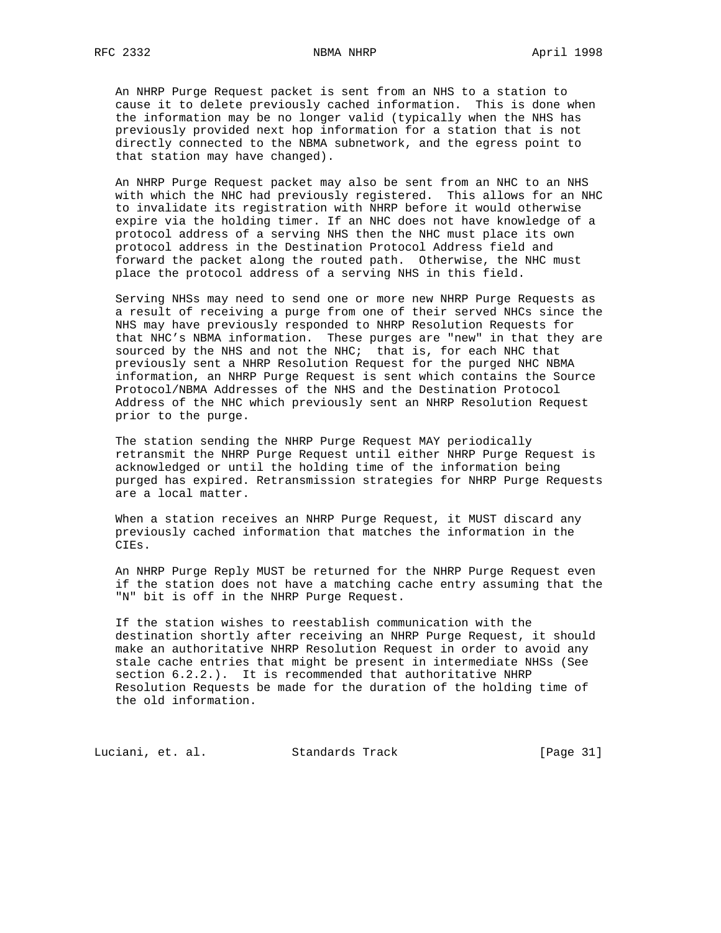An NHRP Purge Request packet is sent from an NHS to a station to cause it to delete previously cached information. This is done when the information may be no longer valid (typically when the NHS has previously provided next hop information for a station that is not directly connected to the NBMA subnetwork, and the egress point to that station may have changed).

 An NHRP Purge Request packet may also be sent from an NHC to an NHS with which the NHC had previously registered. This allows for an NHC to invalidate its registration with NHRP before it would otherwise expire via the holding timer. If an NHC does not have knowledge of a protocol address of a serving NHS then the NHC must place its own protocol address in the Destination Protocol Address field and forward the packet along the routed path. Otherwise, the NHC must place the protocol address of a serving NHS in this field.

 Serving NHSs may need to send one or more new NHRP Purge Requests as a result of receiving a purge from one of their served NHCs since the NHS may have previously responded to NHRP Resolution Requests for that NHC's NBMA information. These purges are "new" in that they are sourced by the NHS and not the NHC; that is, for each NHC that previously sent a NHRP Resolution Request for the purged NHC NBMA information, an NHRP Purge Request is sent which contains the Source Protocol/NBMA Addresses of the NHS and the Destination Protocol Address of the NHC which previously sent an NHRP Resolution Request prior to the purge.

 The station sending the NHRP Purge Request MAY periodically retransmit the NHRP Purge Request until either NHRP Purge Request is acknowledged or until the holding time of the information being purged has expired. Retransmission strategies for NHRP Purge Requests are a local matter.

 When a station receives an NHRP Purge Request, it MUST discard any previously cached information that matches the information in the CIEs.

 An NHRP Purge Reply MUST be returned for the NHRP Purge Request even if the station does not have a matching cache entry assuming that the "N" bit is off in the NHRP Purge Request.

 If the station wishes to reestablish communication with the destination shortly after receiving an NHRP Purge Request, it should make an authoritative NHRP Resolution Request in order to avoid any stale cache entries that might be present in intermediate NHSs (See section  $6.2.2.$ ). It is recommended that authoritative NHRP Resolution Requests be made for the duration of the holding time of the old information.

Luciani, et. al. Standards Track [Page 31]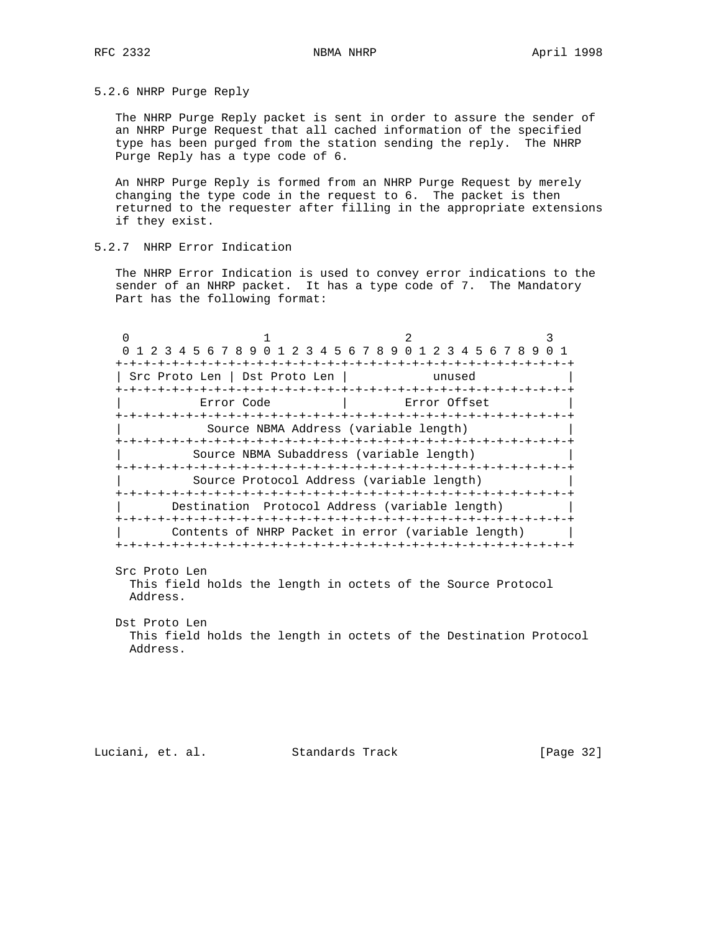5.2.6 NHRP Purge Reply

 The NHRP Purge Reply packet is sent in order to assure the sender of an NHRP Purge Request that all cached information of the specified type has been purged from the station sending the reply. The NHRP Purge Reply has a type code of 6.

 An NHRP Purge Reply is formed from an NHRP Purge Request by merely changing the type code in the request to 6. The packet is then returned to the requester after filling in the appropriate extensions if they exist.

# 5.2.7 NHRP Error Indication

 The NHRP Error Indication is used to convey error indications to the sender of an NHRP packet. It has a type code of 7. The Mandatory Part has the following format:

| 0 1 2 3 4 5 6 7 8 9 0 1 2 3 4 5 6 7 8 9 0 1 2 3 4 5 6 7 8 9 0 1 |              |  |
|-----------------------------------------------------------------|--------------|--|
|                                                                 |              |  |
| Src Proto Len   Dst Proto Len                                   | unused       |  |
|                                                                 |              |  |
| Error Code                                                      | Error Offset |  |
|                                                                 |              |  |
| Source NBMA Address (variable length)                           |              |  |
|                                                                 |              |  |
| Source NBMA Subaddress (variable length)                        |              |  |
|                                                                 |              |  |
| Source Protocol Address (variable length)                       |              |  |
|                                                                 |              |  |
| Destination Protocol Address (variable length)                  |              |  |
|                                                                 |              |  |
| Contents of NHRP Packet in error (variable length)              |              |  |
|                                                                 |              |  |

 Src Proto Len This field holds the length in octets of the Source Protocol Address.

 Dst Proto Len This field holds the length in octets of the Destination Protocol Address.

Luciani, et. al. Standards Track [Page 32]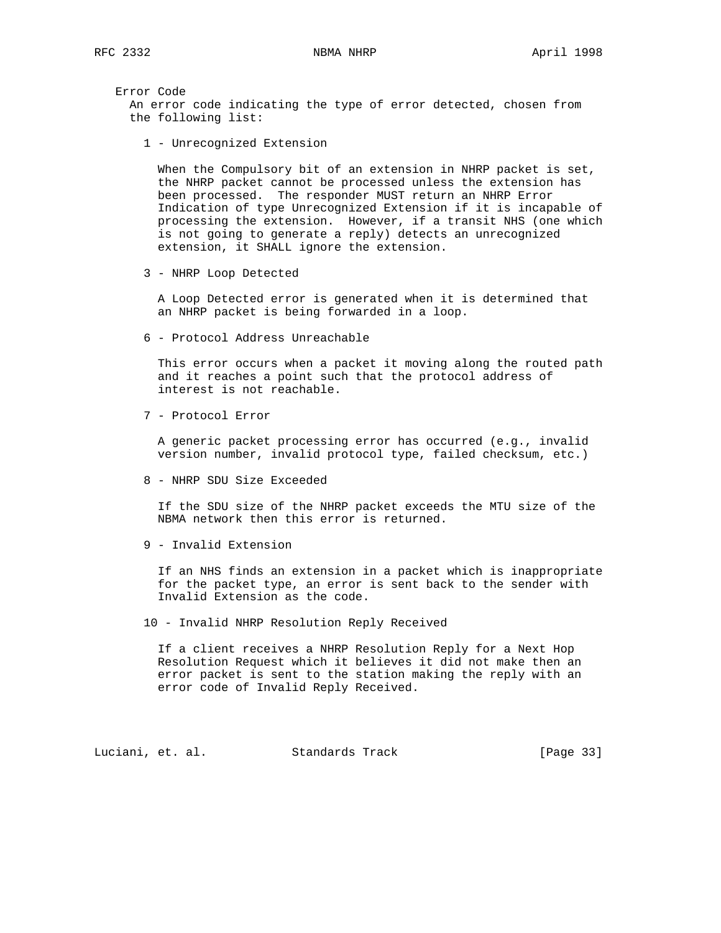Error Code An error code indicating the type of error detected, chosen from the following list:

1 - Unrecognized Extension

 When the Compulsory bit of an extension in NHRP packet is set, the NHRP packet cannot be processed unless the extension has been processed. The responder MUST return an NHRP Error Indication of type Unrecognized Extension if it is incapable of processing the extension. However, if a transit NHS (one which is not going to generate a reply) detects an unrecognized extension, it SHALL ignore the extension.

3 - NHRP Loop Detected

 A Loop Detected error is generated when it is determined that an NHRP packet is being forwarded in a loop.

6 - Protocol Address Unreachable

 This error occurs when a packet it moving along the routed path and it reaches a point such that the protocol address of interest is not reachable.

7 - Protocol Error

 A generic packet processing error has occurred (e.g., invalid version number, invalid protocol type, failed checksum, etc.)

8 - NHRP SDU Size Exceeded

 If the SDU size of the NHRP packet exceeds the MTU size of the NBMA network then this error is returned.

9 - Invalid Extension

 If an NHS finds an extension in a packet which is inappropriate for the packet type, an error is sent back to the sender with Invalid Extension as the code.

10 - Invalid NHRP Resolution Reply Received

 If a client receives a NHRP Resolution Reply for a Next Hop Resolution Request which it believes it did not make then an error packet is sent to the station making the reply with an error code of Invalid Reply Received.

Luciani, et. al. Standards Track [Page 33]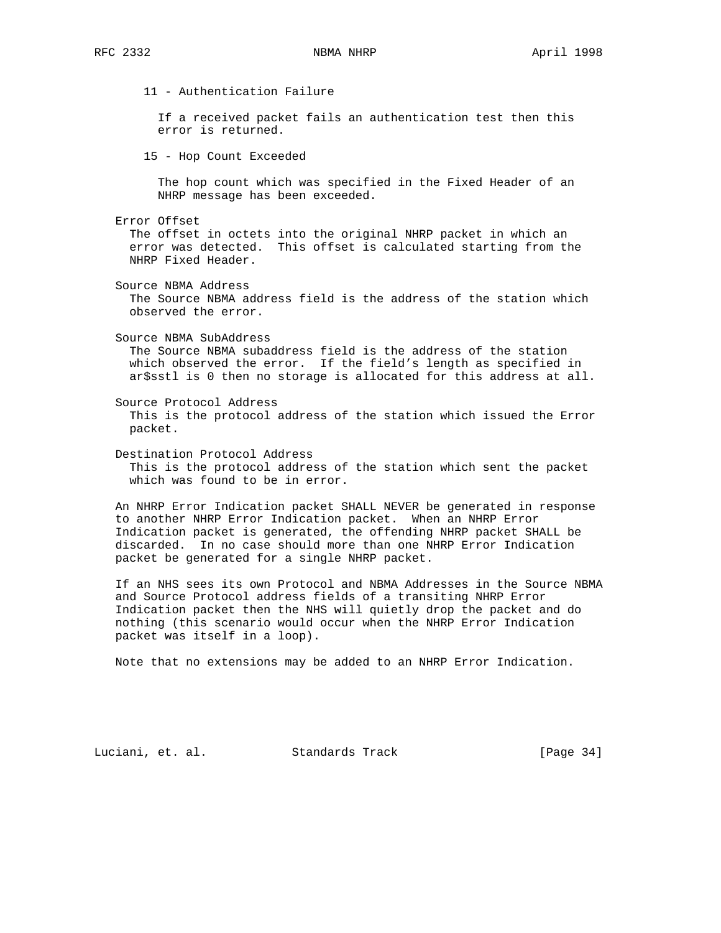11 - Authentication Failure If a received packet fails an authentication test then this error is returned. 15 - Hop Count Exceeded The hop count which was specified in the Fixed Header of an NHRP message has been exceeded. Error Offset The offset in octets into the original NHRP packet in which an error was detected. This offset is calculated starting from the NHRP Fixed Header. Source NBMA Address The Source NBMA address field is the address of the station which observed the error. Source NBMA SubAddress The Source NBMA subaddress field is the address of the station which observed the error. If the field's length as specified in ar\$sstl is 0 then no storage is allocated for this address at all. Source Protocol Address This is the protocol address of the station which issued the Error packet. Destination Protocol Address This is the protocol address of the station which sent the packet which was found to be in error. An NHRP Error Indication packet SHALL NEVER be generated in response to another NHRP Error Indication packet. When an NHRP Error Indication packet is generated, the offending NHRP packet SHALL be discarded. In no case should more than one NHRP Error Indication packet be generated for a single NHRP packet. If an NHS sees its own Protocol and NBMA Addresses in the Source NBMA and Source Protocol address fields of a transiting NHRP Error Indication packet then the NHS will quietly drop the packet and do nothing (this scenario would occur when the NHRP Error Indication packet was itself in a loop).

Note that no extensions may be added to an NHRP Error Indication.

Luciani, et. al. Standards Track [Page 34]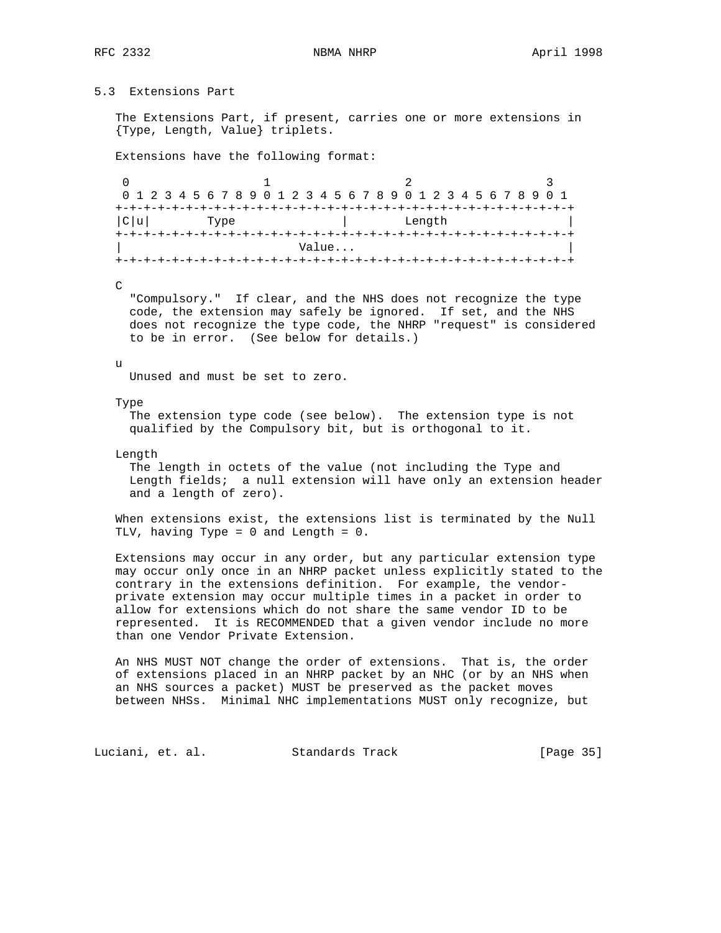# 5.3 Extensions Part

 The Extensions Part, if present, carries one or more extensions in {Type, Length, Value} triplets.

Extensions have the following format:

0  $1$   $2$   $3$  0 1 2 3 4 5 6 7 8 9 0 1 2 3 4 5 6 7 8 9 0 1 2 3 4 5 6 7 8 9 0 1 +-+-+-+-+-+-+-+-+-+-+-+-+-+-+-+-+-+-+-+-+-+-+-+-+-+-+-+-+-+-+-+-+  $|C|u|$  Type +-+-+-+-+-+-+-+-+-+-+-+-+-+-+-+-+-+-+-+-+-+-+-+-+-+-+-+-+-+-+-+-+ Value... +-+-+-+-+-+-+-+-+-+-+-+-+-+-+-+-+-+-+-+-+-+-+-+-+-+-+-+-+-+-+-+-+

 $\mathcal{C}$ 

 "Compulsory." If clear, and the NHS does not recognize the type code, the extension may safely be ignored. If set, and the NHS does not recognize the type code, the NHRP "request" is considered to be in error. (See below for details.)

#### u

Unused and must be set to zero.

#### Type

 The extension type code (see below). The extension type is not qualified by the Compulsory bit, but is orthogonal to it.

Length

 The length in octets of the value (not including the Type and Length fields; a null extension will have only an extension header and a length of zero).

 When extensions exist, the extensions list is terminated by the Null TLV, having Type = 0 and Length = 0.

 Extensions may occur in any order, but any particular extension type may occur only once in an NHRP packet unless explicitly stated to the contrary in the extensions definition. For example, the vendor private extension may occur multiple times in a packet in order to allow for extensions which do not share the same vendor ID to be represented. It is RECOMMENDED that a given vendor include no more than one Vendor Private Extension.

 An NHS MUST NOT change the order of extensions. That is, the order of extensions placed in an NHRP packet by an NHC (or by an NHS when an NHS sources a packet) MUST be preserved as the packet moves between NHSs. Minimal NHC implementations MUST only recognize, but

Luciani, et. al. Standards Track [Page 35]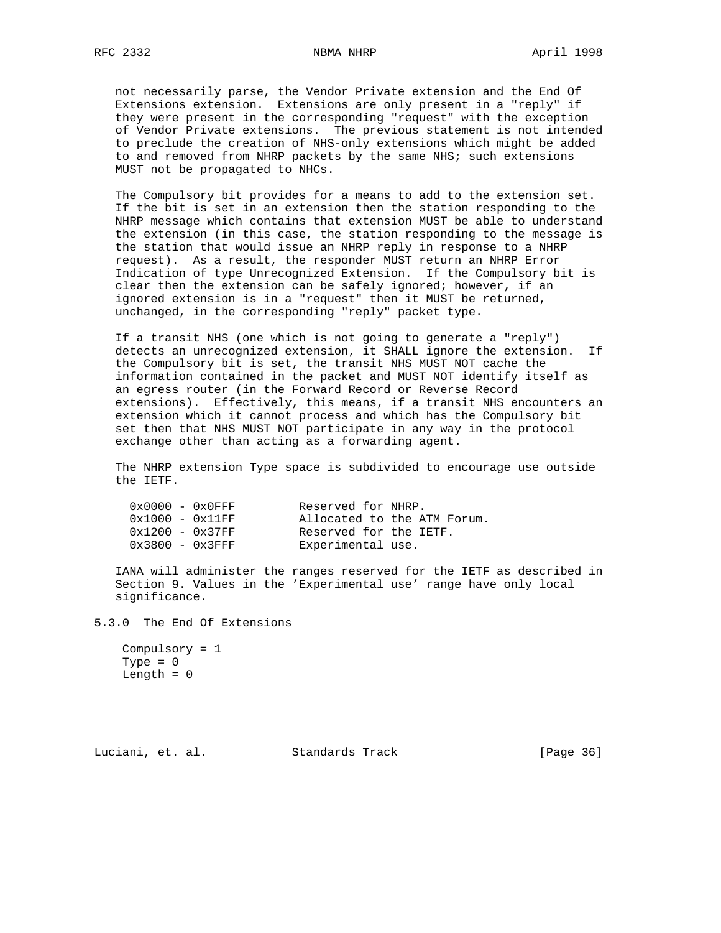not necessarily parse, the Vendor Private extension and the End Of Extensions extension. Extensions are only present in a "reply" if they were present in the corresponding "request" with the exception of Vendor Private extensions. The previous statement is not intended to preclude the creation of NHS-only extensions which might be added to and removed from NHRP packets by the same NHS; such extensions MUST not be propagated to NHCs.

 The Compulsory bit provides for a means to add to the extension set. If the bit is set in an extension then the station responding to the NHRP message which contains that extension MUST be able to understand the extension (in this case, the station responding to the message is the station that would issue an NHRP reply in response to a NHRP request). As a result, the responder MUST return an NHRP Error Indication of type Unrecognized Extension. If the Compulsory bit is clear then the extension can be safely ignored; however, if an ignored extension is in a "request" then it MUST be returned, unchanged, in the corresponding "reply" packet type.

 If a transit NHS (one which is not going to generate a "reply") detects an unrecognized extension, it SHALL ignore the extension. If the Compulsory bit is set, the transit NHS MUST NOT cache the information contained in the packet and MUST NOT identify itself as an egress router (in the Forward Record or Reverse Record extensions). Effectively, this means, if a transit NHS encounters an extension which it cannot process and which has the Compulsory bit set then that NHS MUST NOT participate in any way in the protocol exchange other than acting as a forwarding agent.

 The NHRP extension Type space is subdivided to encourage use outside the IETF.

| $0 \times 0000 - 0 \times 0$ FFF | Reserved for NHRP.     |                             |
|----------------------------------|------------------------|-----------------------------|
| $0x1000 - 0x11FF$                |                        | Allocated to the ATM Forum. |
| $0x1200 - 0x37FF$                | Reserved for the IETF. |                             |
| $0x3800 - 0x3FFF$                | Experimental use.      |                             |

 IANA will administer the ranges reserved for the IETF as described in Section 9. Values in the 'Experimental use' range have only local significance.

5.3.0 The End Of Extensions

```
 Compulsory = 1
 Type = 0
Length = 0
```
Luciani, et. al. Standards Track [Page 36]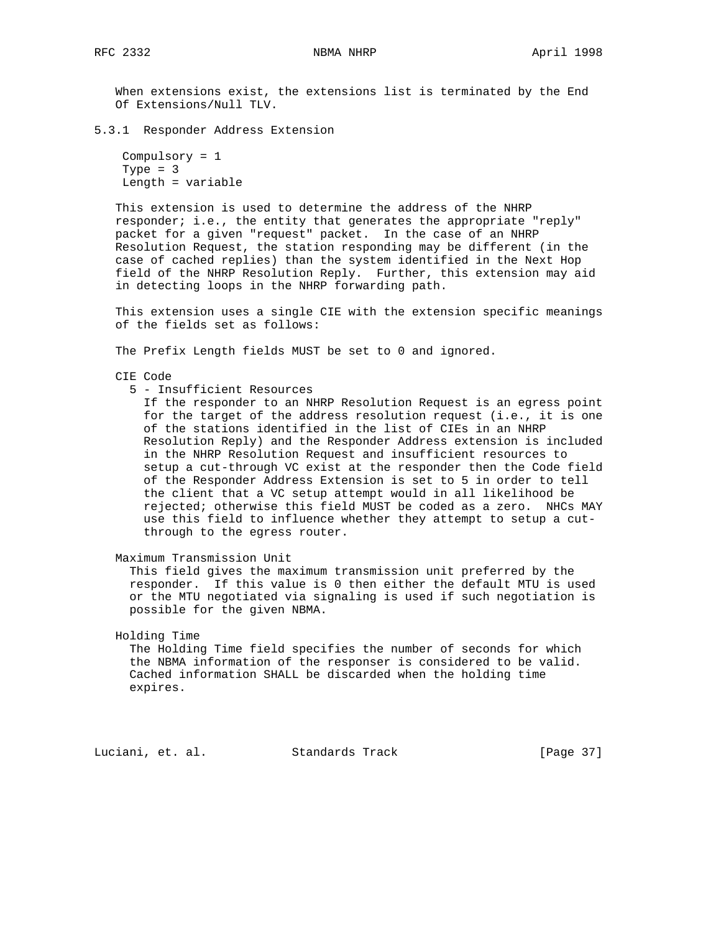When extensions exist, the extensions list is terminated by the End Of Extensions/Null TLV.

5.3.1 Responder Address Extension

 Compulsory = 1 Type  $= 3$ Length = variable

 This extension is used to determine the address of the NHRP responder; i.e., the entity that generates the appropriate "reply" packet for a given "request" packet. In the case of an NHRP Resolution Request, the station responding may be different (in the case of cached replies) than the system identified in the Next Hop field of the NHRP Resolution Reply. Further, this extension may aid in detecting loops in the NHRP forwarding path.

 This extension uses a single CIE with the extension specific meanings of the fields set as follows:

The Prefix Length fields MUST be set to 0 and ignored.

- CIE Code
	- 5 Insufficient Resources

 If the responder to an NHRP Resolution Request is an egress point for the target of the address resolution request (i.e., it is one of the stations identified in the list of CIEs in an NHRP Resolution Reply) and the Responder Address extension is included in the NHRP Resolution Request and insufficient resources to setup a cut-through VC exist at the responder then the Code field of the Responder Address Extension is set to 5 in order to tell the client that a VC setup attempt would in all likelihood be rejected; otherwise this field MUST be coded as a zero. NHCs MAY use this field to influence whether they attempt to setup a cut through to the egress router.

Maximum Transmission Unit

 This field gives the maximum transmission unit preferred by the responder. If this value is 0 then either the default MTU is used or the MTU negotiated via signaling is used if such negotiation is possible for the given NBMA.

Holding Time

 The Holding Time field specifies the number of seconds for which the NBMA information of the responser is considered to be valid. Cached information SHALL be discarded when the holding time expires.

Luciani, et. al. Standards Track [Page 37]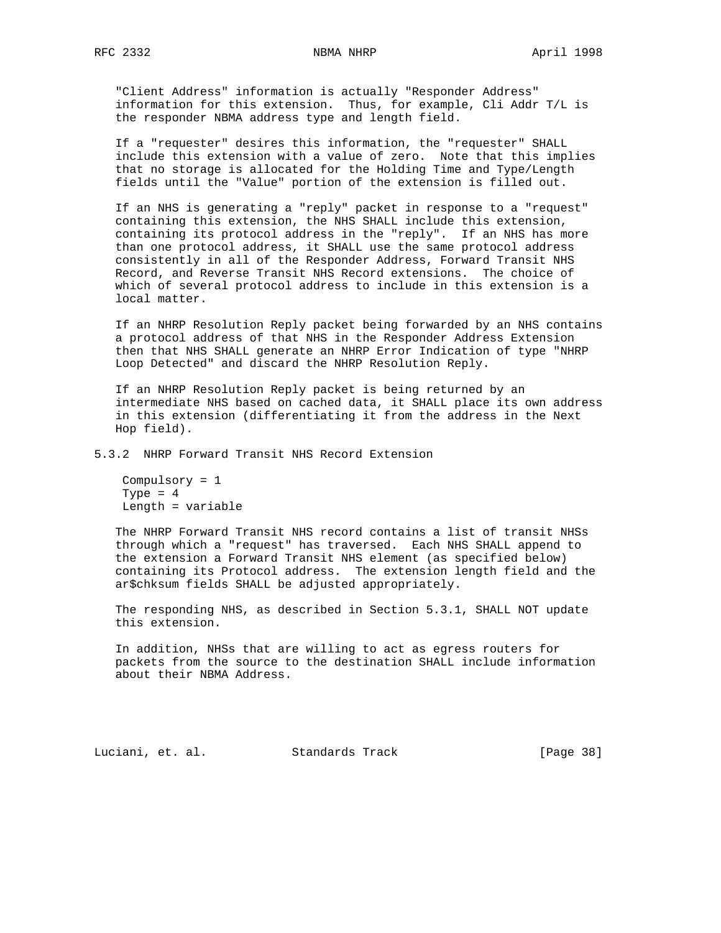"Client Address" information is actually "Responder Address" information for this extension. Thus, for example, Cli Addr T/L is the responder NBMA address type and length field.

 If a "requester" desires this information, the "requester" SHALL include this extension with a value of zero. Note that this implies that no storage is allocated for the Holding Time and Type/Length fields until the "Value" portion of the extension is filled out.

 If an NHS is generating a "reply" packet in response to a "request" containing this extension, the NHS SHALL include this extension, containing its protocol address in the "reply". If an NHS has more than one protocol address, it SHALL use the same protocol address consistently in all of the Responder Address, Forward Transit NHS Record, and Reverse Transit NHS Record extensions. The choice of which of several protocol address to include in this extension is a local matter.

 If an NHRP Resolution Reply packet being forwarded by an NHS contains a protocol address of that NHS in the Responder Address Extension then that NHS SHALL generate an NHRP Error Indication of type "NHRP Loop Detected" and discard the NHRP Resolution Reply.

 If an NHRP Resolution Reply packet is being returned by an intermediate NHS based on cached data, it SHALL place its own address in this extension (differentiating it from the address in the Next Hop field).

5.3.2 NHRP Forward Transit NHS Record Extension

 Compulsory = 1 Type  $= 4$ Length = variable

 The NHRP Forward Transit NHS record contains a list of transit NHSs through which a "request" has traversed. Each NHS SHALL append to the extension a Forward Transit NHS element (as specified below) containing its Protocol address. The extension length field and the ar\$chksum fields SHALL be adjusted appropriately.

 The responding NHS, as described in Section 5.3.1, SHALL NOT update this extension.

 In addition, NHSs that are willing to act as egress routers for packets from the source to the destination SHALL include information about their NBMA Address.

Luciani, et. al. Standards Track [Page 38]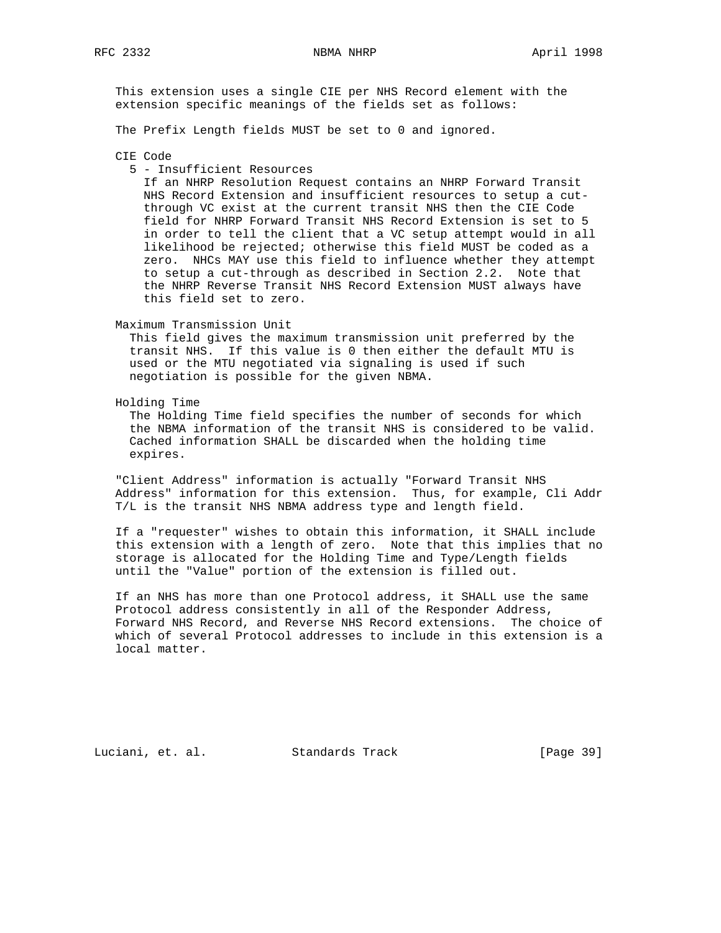This extension uses a single CIE per NHS Record element with the extension specific meanings of the fields set as follows:

The Prefix Length fields MUST be set to 0 and ignored.

## CIE Code

### 5 - Insufficient Resources

 If an NHRP Resolution Request contains an NHRP Forward Transit NHS Record Extension and insufficient resources to setup a cut through VC exist at the current transit NHS then the CIE Code field for NHRP Forward Transit NHS Record Extension is set to 5 in order to tell the client that a VC setup attempt would in all likelihood be rejected; otherwise this field MUST be coded as a zero. NHCs MAY use this field to influence whether they attempt to setup a cut-through as described in Section 2.2. Note that the NHRP Reverse Transit NHS Record Extension MUST always have this field set to zero.

#### Maximum Transmission Unit

 This field gives the maximum transmission unit preferred by the transit NHS. If this value is 0 then either the default MTU is used or the MTU negotiated via signaling is used if such negotiation is possible for the given NBMA.

## Holding Time

 The Holding Time field specifies the number of seconds for which the NBMA information of the transit NHS is considered to be valid. Cached information SHALL be discarded when the holding time expires.

 "Client Address" information is actually "Forward Transit NHS Address" information for this extension. Thus, for example, Cli Addr T/L is the transit NHS NBMA address type and length field.

 If a "requester" wishes to obtain this information, it SHALL include this extension with a length of zero. Note that this implies that no storage is allocated for the Holding Time and Type/Length fields until the "Value" portion of the extension is filled out.

 If an NHS has more than one Protocol address, it SHALL use the same Protocol address consistently in all of the Responder Address, Forward NHS Record, and Reverse NHS Record extensions. The choice of which of several Protocol addresses to include in this extension is a local matter.

Luciani, et. al. Standards Track [Page 39]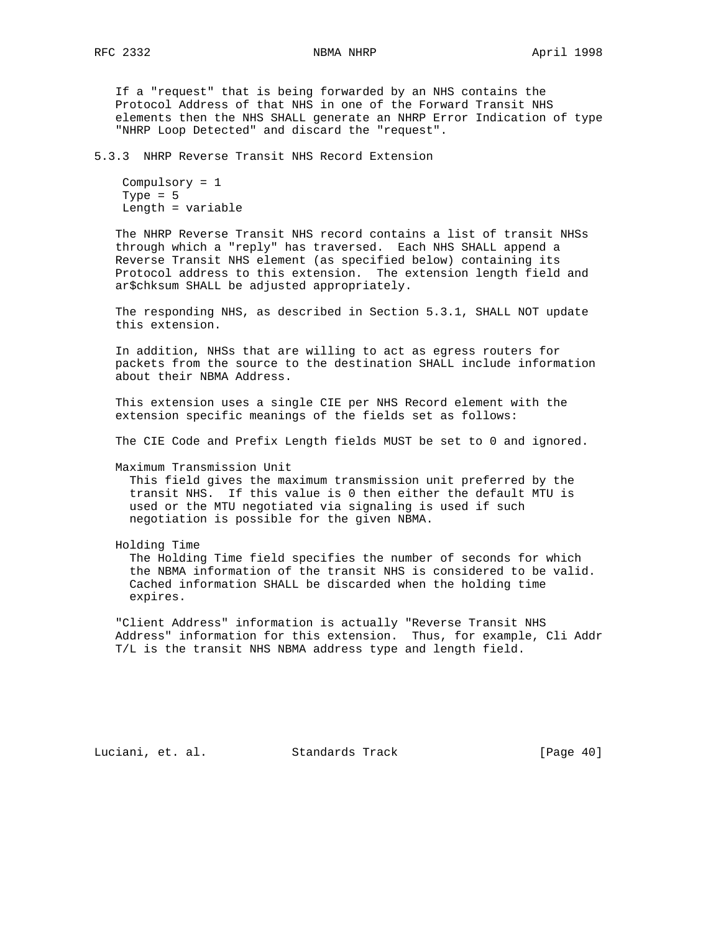If a "request" that is being forwarded by an NHS contains the Protocol Address of that NHS in one of the Forward Transit NHS elements then the NHS SHALL generate an NHRP Error Indication of type "NHRP Loop Detected" and discard the "request".

5.3.3 NHRP Reverse Transit NHS Record Extension

```
 Compulsory = 1
Type = 5 Length = variable
```
 The NHRP Reverse Transit NHS record contains a list of transit NHSs through which a "reply" has traversed. Each NHS SHALL append a Reverse Transit NHS element (as specified below) containing its Protocol address to this extension. The extension length field and ar\$chksum SHALL be adjusted appropriately.

 The responding NHS, as described in Section 5.3.1, SHALL NOT update this extension.

 In addition, NHSs that are willing to act as egress routers for packets from the source to the destination SHALL include information about their NBMA Address.

 This extension uses a single CIE per NHS Record element with the extension specific meanings of the fields set as follows:

The CIE Code and Prefix Length fields MUST be set to 0 and ignored.

Maximum Transmission Unit

 This field gives the maximum transmission unit preferred by the transit NHS. If this value is 0 then either the default MTU is used or the MTU negotiated via signaling is used if such negotiation is possible for the given NBMA.

Holding Time

 The Holding Time field specifies the number of seconds for which the NBMA information of the transit NHS is considered to be valid. Cached information SHALL be discarded when the holding time expires.

 "Client Address" information is actually "Reverse Transit NHS Address" information for this extension. Thus, for example, Cli Addr T/L is the transit NHS NBMA address type and length field.

Luciani, et. al. Standards Track [Page 40]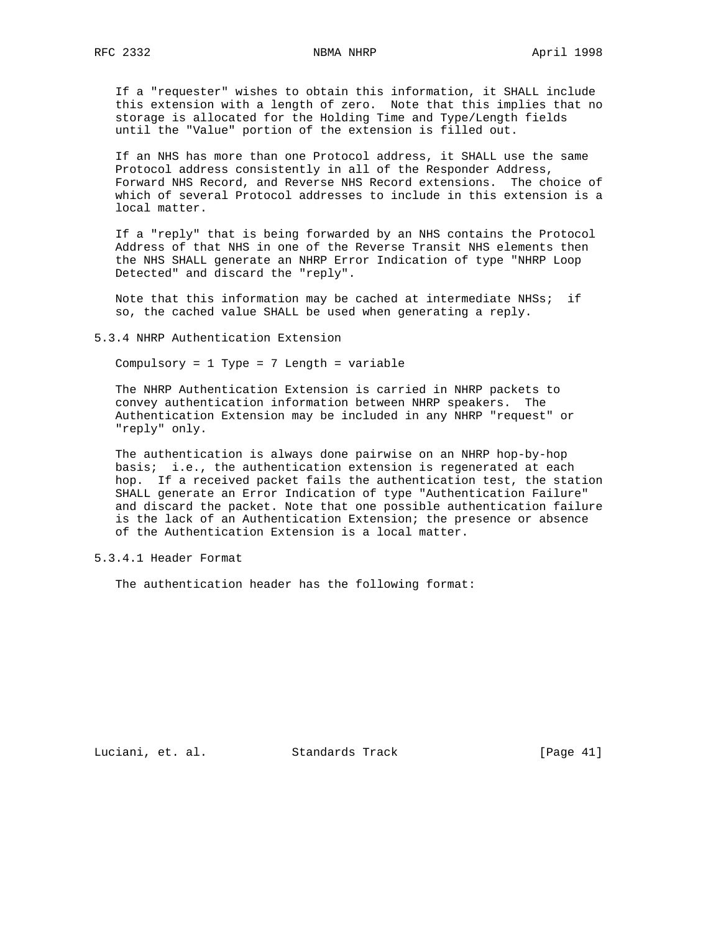If a "requester" wishes to obtain this information, it SHALL include this extension with a length of zero. Note that this implies that no storage is allocated for the Holding Time and Type/Length fields until the "Value" portion of the extension is filled out.

 If an NHS has more than one Protocol address, it SHALL use the same Protocol address consistently in all of the Responder Address, Forward NHS Record, and Reverse NHS Record extensions. The choice of which of several Protocol addresses to include in this extension is a local matter.

 If a "reply" that is being forwarded by an NHS contains the Protocol Address of that NHS in one of the Reverse Transit NHS elements then the NHS SHALL generate an NHRP Error Indication of type "NHRP Loop Detected" and discard the "reply".

 Note that this information may be cached at intermediate NHSs; if so, the cached value SHALL be used when generating a reply.

5.3.4 NHRP Authentication Extension

Compulsory = 1 Type = 7 Length = variable

 The NHRP Authentication Extension is carried in NHRP packets to convey authentication information between NHRP speakers. The Authentication Extension may be included in any NHRP "request" or "reply" only.

 The authentication is always done pairwise on an NHRP hop-by-hop basis; i.e., the authentication extension is regenerated at each hop. If a received packet fails the authentication test, the station SHALL generate an Error Indication of type "Authentication Failure" and discard the packet. Note that one possible authentication failure is the lack of an Authentication Extension; the presence or absence of the Authentication Extension is a local matter.

5.3.4.1 Header Format

The authentication header has the following format:

Luciani, et. al. Standards Track [Page 41]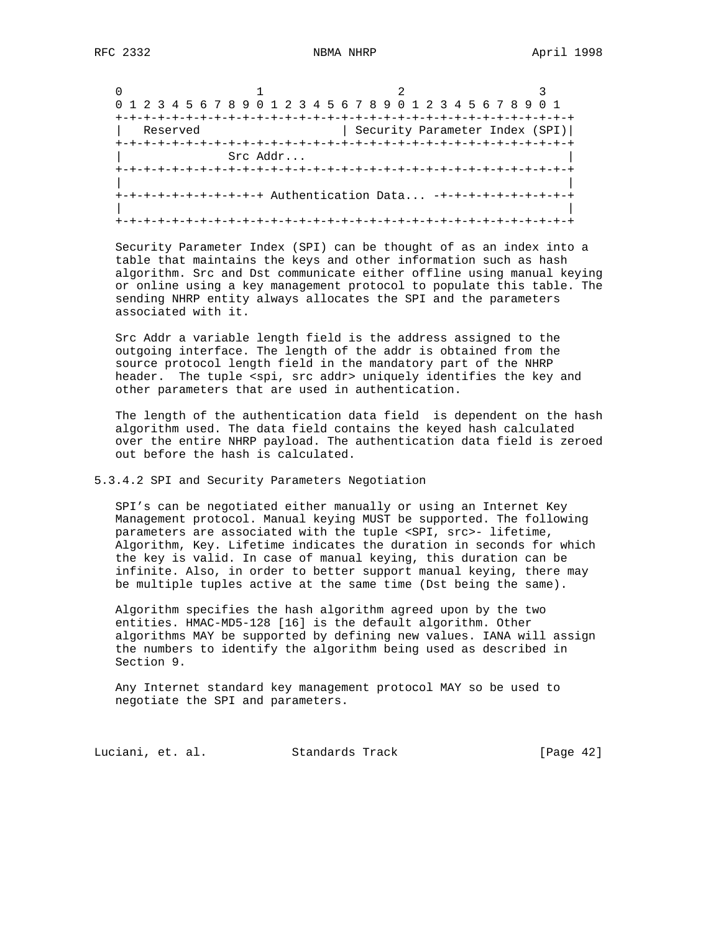| 0 1 2 3 4 5 6 7 8 9 0 1 2 3 4 5 6 7 8 9 0 1 2 3 4 5 6 7 8 9 0 1 |          |                                      |  |
|-----------------------------------------------------------------|----------|--------------------------------------|--|
|                                                                 |          |                                      |  |
| Reserved                                                        |          | Security Parameter Index (SPI)       |  |
|                                                                 |          | +-+-+-+-+-+-+-+-+-+-+-+-+-+-+-+-+-+- |  |
|                                                                 | Src Addr |                                      |  |
|                                                                 |          |                                      |  |
|                                                                 |          |                                      |  |
| +-+-+-+-+-+-+-+-+-+-+ Authentication Data -+-+-                 |          |                                      |  |
|                                                                 |          |                                      |  |
|                                                                 |          |                                      |  |

 Security Parameter Index (SPI) can be thought of as an index into a table that maintains the keys and other information such as hash algorithm. Src and Dst communicate either offline using manual keying or online using a key management protocol to populate this table. The sending NHRP entity always allocates the SPI and the parameters associated with it.

 Src Addr a variable length field is the address assigned to the outgoing interface. The length of the addr is obtained from the source protocol length field in the mandatory part of the NHRP header. The tuple <spi, src addr> uniquely identifies the key and other parameters that are used in authentication.

 The length of the authentication data field is dependent on the hash algorithm used. The data field contains the keyed hash calculated over the entire NHRP payload. The authentication data field is zeroed out before the hash is calculated.

#### 5.3.4.2 SPI and Security Parameters Negotiation

 SPI's can be negotiated either manually or using an Internet Key Management protocol. Manual keying MUST be supported. The following parameters are associated with the tuple <SPI, src>- lifetime, Algorithm, Key. Lifetime indicates the duration in seconds for which the key is valid. In case of manual keying, this duration can be infinite. Also, in order to better support manual keying, there may be multiple tuples active at the same time (Dst being the same).

 Algorithm specifies the hash algorithm agreed upon by the two entities. HMAC-MD5-128 [16] is the default algorithm. Other algorithms MAY be supported by defining new values. IANA will assign the numbers to identify the algorithm being used as described in Section 9.

 Any Internet standard key management protocol MAY so be used to negotiate the SPI and parameters.

Luciani, et. al. Standards Track [Page 42]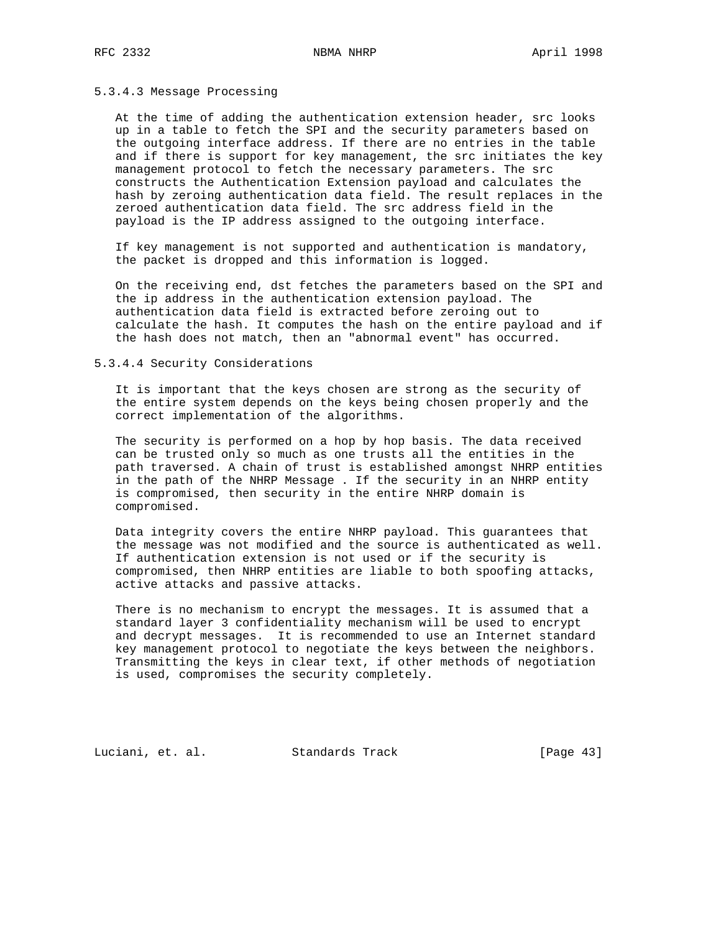## 5.3.4.3 Message Processing

 At the time of adding the authentication extension header, src looks up in a table to fetch the SPI and the security parameters based on the outgoing interface address. If there are no entries in the table and if there is support for key management, the src initiates the key management protocol to fetch the necessary parameters. The src constructs the Authentication Extension payload and calculates the hash by zeroing authentication data field. The result replaces in the zeroed authentication data field. The src address field in the payload is the IP address assigned to the outgoing interface.

 If key management is not supported and authentication is mandatory, the packet is dropped and this information is logged.

 On the receiving end, dst fetches the parameters based on the SPI and the ip address in the authentication extension payload. The authentication data field is extracted before zeroing out to calculate the hash. It computes the hash on the entire payload and if the hash does not match, then an "abnormal event" has occurred.

## 5.3.4.4 Security Considerations

 It is important that the keys chosen are strong as the security of the entire system depends on the keys being chosen properly and the correct implementation of the algorithms.

 The security is performed on a hop by hop basis. The data received can be trusted only so much as one trusts all the entities in the path traversed. A chain of trust is established amongst NHRP entities in the path of the NHRP Message . If the security in an NHRP entity is compromised, then security in the entire NHRP domain is compromised.

 Data integrity covers the entire NHRP payload. This guarantees that the message was not modified and the source is authenticated as well. If authentication extension is not used or if the security is compromised, then NHRP entities are liable to both spoofing attacks, active attacks and passive attacks.

 There is no mechanism to encrypt the messages. It is assumed that a standard layer 3 confidentiality mechanism will be used to encrypt and decrypt messages. It is recommended to use an Internet standard key management protocol to negotiate the keys between the neighbors. Transmitting the keys in clear text, if other methods of negotiation is used, compromises the security completely.

Luciani, et. al. Standards Track [Page 43]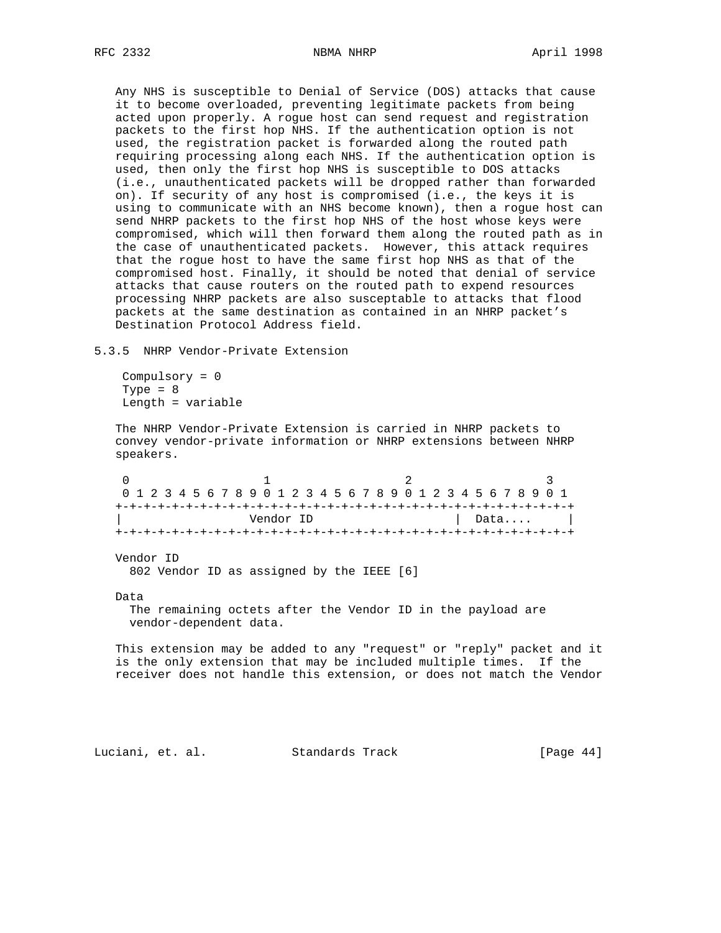Any NHS is susceptible to Denial of Service (DOS) attacks that cause it to become overloaded, preventing legitimate packets from being acted upon properly. A rogue host can send request and registration packets to the first hop NHS. If the authentication option is not used, the registration packet is forwarded along the routed path requiring processing along each NHS. If the authentication option is used, then only the first hop NHS is susceptible to DOS attacks (i.e., unauthenticated packets will be dropped rather than forwarded on). If security of any host is compromised (i.e., the keys it is using to communicate with an NHS become known), then a rogue host can send NHRP packets to the first hop NHS of the host whose keys were compromised, which will then forward them along the routed path as in the case of unauthenticated packets. However, this attack requires that the rogue host to have the same first hop NHS as that of the compromised host. Finally, it should be noted that denial of service attacks that cause routers on the routed path to expend resources processing NHRP packets are also susceptable to attacks that flood packets at the same destination as contained in an NHRP packet's Destination Protocol Address field.

5.3.5 NHRP Vendor-Private Extension

 Compulsory = 0 Type  $= 8$ Length = variable

 The NHRP Vendor-Private Extension is carried in NHRP packets to convey vendor-private information or NHRP extensions between NHRP speakers.

| 0 1 2 3 4 5 6 7 8 9 0 1 2 3 4 5 6 7 8 9 0 1 2 3 4 5 6 7 8 9 0 1 |  |  |  |  |  |  |  |  |  |  |  |  |  |  |  |  |  |                      |  |  |  |  |  |  |  |  |
|-----------------------------------------------------------------|--|--|--|--|--|--|--|--|--|--|--|--|--|--|--|--|--|----------------------|--|--|--|--|--|--|--|--|
|                                                                 |  |  |  |  |  |  |  |  |  |  |  |  |  |  |  |  |  |                      |  |  |  |  |  |  |  |  |
| Vendor ID                                                       |  |  |  |  |  |  |  |  |  |  |  |  |  |  |  |  |  | $\vert$ Data $\vert$ |  |  |  |  |  |  |  |  |
|                                                                 |  |  |  |  |  |  |  |  |  |  |  |  |  |  |  |  |  |                      |  |  |  |  |  |  |  |  |

Vendor ID

802 Vendor ID as assigned by the IEEE [6]

Data

 The remaining octets after the Vendor ID in the payload are vendor-dependent data.

 This extension may be added to any "request" or "reply" packet and it is the only extension that may be included multiple times. If the receiver does not handle this extension, or does not match the Vendor

Luciani, et. al. Standards Track [Page 44]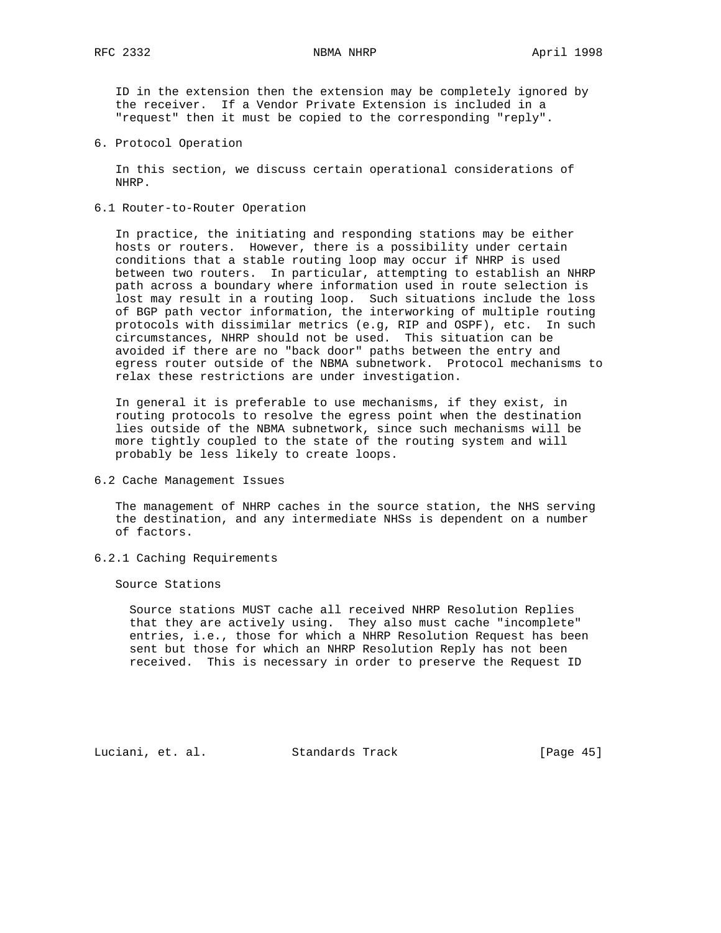ID in the extension then the extension may be completely ignored by the receiver. If a Vendor Private Extension is included in a "request" then it must be copied to the corresponding "reply".

6. Protocol Operation

 In this section, we discuss certain operational considerations of NHRP.

6.1 Router-to-Router Operation

 In practice, the initiating and responding stations may be either hosts or routers. However, there is a possibility under certain conditions that a stable routing loop may occur if NHRP is used between two routers. In particular, attempting to establish an NHRP path across a boundary where information used in route selection is lost may result in a routing loop. Such situations include the loss of BGP path vector information, the interworking of multiple routing protocols with dissimilar metrics (e.g, RIP and OSPF), etc. In such circumstances, NHRP should not be used. This situation can be avoided if there are no "back door" paths between the entry and egress router outside of the NBMA subnetwork. Protocol mechanisms to relax these restrictions are under investigation.

 In general it is preferable to use mechanisms, if they exist, in routing protocols to resolve the egress point when the destination lies outside of the NBMA subnetwork, since such mechanisms will be more tightly coupled to the state of the routing system and will probably be less likely to create loops.

6.2 Cache Management Issues

 The management of NHRP caches in the source station, the NHS serving the destination, and any intermediate NHSs is dependent on a number of factors.

6.2.1 Caching Requirements

Source Stations

 Source stations MUST cache all received NHRP Resolution Replies that they are actively using. They also must cache "incomplete" entries, i.e., those for which a NHRP Resolution Request has been sent but those for which an NHRP Resolution Reply has not been received. This is necessary in order to preserve the Request ID

Luciani, et. al. Standards Track [Page 45]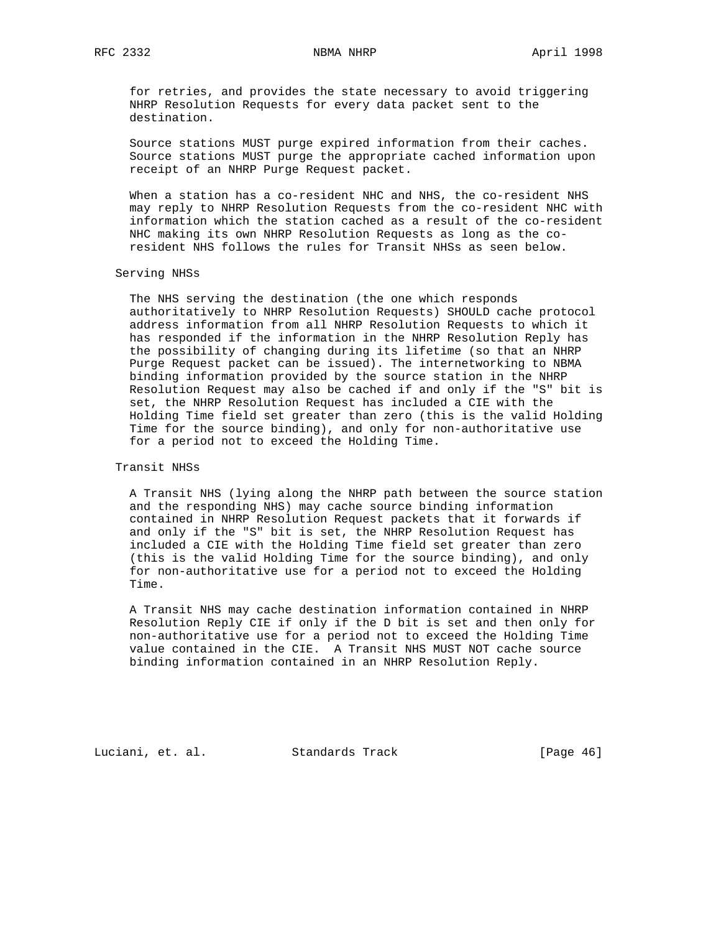for retries, and provides the state necessary to avoid triggering NHRP Resolution Requests for every data packet sent to the destination.

 Source stations MUST purge expired information from their caches. Source stations MUST purge the appropriate cached information upon receipt of an NHRP Purge Request packet.

 When a station has a co-resident NHC and NHS, the co-resident NHS may reply to NHRP Resolution Requests from the co-resident NHC with information which the station cached as a result of the co-resident NHC making its own NHRP Resolution Requests as long as the co resident NHS follows the rules for Transit NHSs as seen below.

## Serving NHSs

 The NHS serving the destination (the one which responds authoritatively to NHRP Resolution Requests) SHOULD cache protocol address information from all NHRP Resolution Requests to which it has responded if the information in the NHRP Resolution Reply has the possibility of changing during its lifetime (so that an NHRP Purge Request packet can be issued). The internetworking to NBMA binding information provided by the source station in the NHRP Resolution Request may also be cached if and only if the "S" bit is set, the NHRP Resolution Request has included a CIE with the Holding Time field set greater than zero (this is the valid Holding Time for the source binding), and only for non-authoritative use for a period not to exceed the Holding Time.

# Transit NHSs

 A Transit NHS (lying along the NHRP path between the source station and the responding NHS) may cache source binding information contained in NHRP Resolution Request packets that it forwards if and only if the "S" bit is set, the NHRP Resolution Request has included a CIE with the Holding Time field set greater than zero (this is the valid Holding Time for the source binding), and only for non-authoritative use for a period not to exceed the Holding Time.

 A Transit NHS may cache destination information contained in NHRP Resolution Reply CIE if only if the D bit is set and then only for non-authoritative use for a period not to exceed the Holding Time value contained in the CIE. A Transit NHS MUST NOT cache source binding information contained in an NHRP Resolution Reply.

Luciani, et. al. Standards Track [Page 46]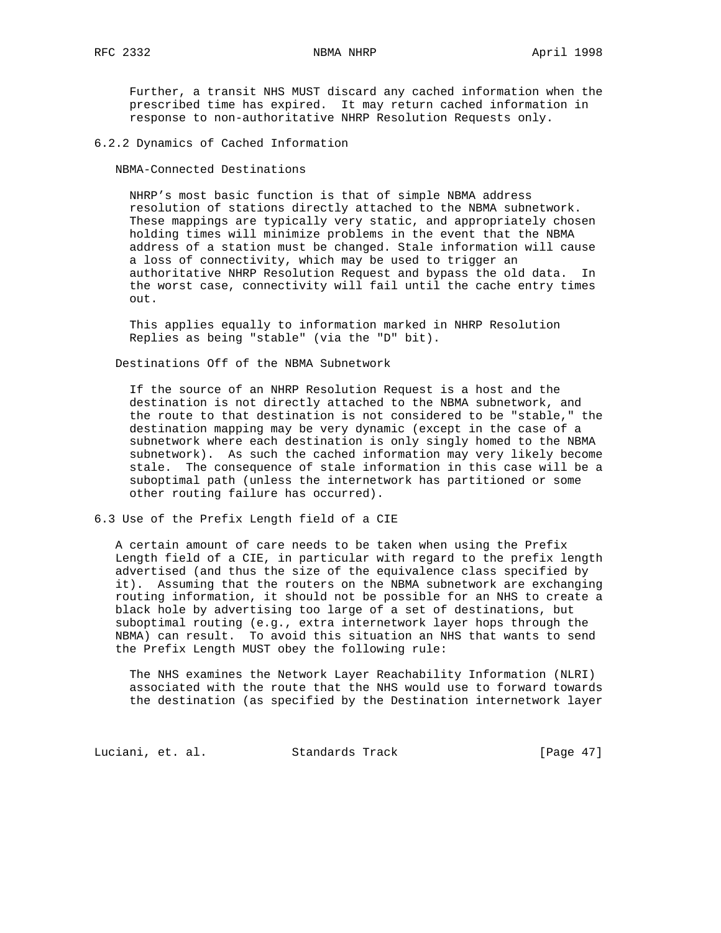Further, a transit NHS MUST discard any cached information when the prescribed time has expired. It may return cached information in response to non-authoritative NHRP Resolution Requests only.

6.2.2 Dynamics of Cached Information

NBMA-Connected Destinations

 NHRP's most basic function is that of simple NBMA address resolution of stations directly attached to the NBMA subnetwork. These mappings are typically very static, and appropriately chosen holding times will minimize problems in the event that the NBMA address of a station must be changed. Stale information will cause a loss of connectivity, which may be used to trigger an authoritative NHRP Resolution Request and bypass the old data. In the worst case, connectivity will fail until the cache entry times out.

 This applies equally to information marked in NHRP Resolution Replies as being "stable" (via the "D" bit).

Destinations Off of the NBMA Subnetwork

 If the source of an NHRP Resolution Request is a host and the destination is not directly attached to the NBMA subnetwork, and the route to that destination is not considered to be "stable," the destination mapping may be very dynamic (except in the case of a subnetwork where each destination is only singly homed to the NBMA subnetwork). As such the cached information may very likely become stale. The consequence of stale information in this case will be a suboptimal path (unless the internetwork has partitioned or some other routing failure has occurred).

6.3 Use of the Prefix Length field of a CIE

 A certain amount of care needs to be taken when using the Prefix Length field of a CIE, in particular with regard to the prefix length advertised (and thus the size of the equivalence class specified by it). Assuming that the routers on the NBMA subnetwork are exchanging routing information, it should not be possible for an NHS to create a black hole by advertising too large of a set of destinations, but suboptimal routing (e.g., extra internetwork layer hops through the NBMA) can result. To avoid this situation an NHS that wants to send the Prefix Length MUST obey the following rule:

 The NHS examines the Network Layer Reachability Information (NLRI) associated with the route that the NHS would use to forward towards the destination (as specified by the Destination internetwork layer

Luciani, et. al. Standards Track [Page 47]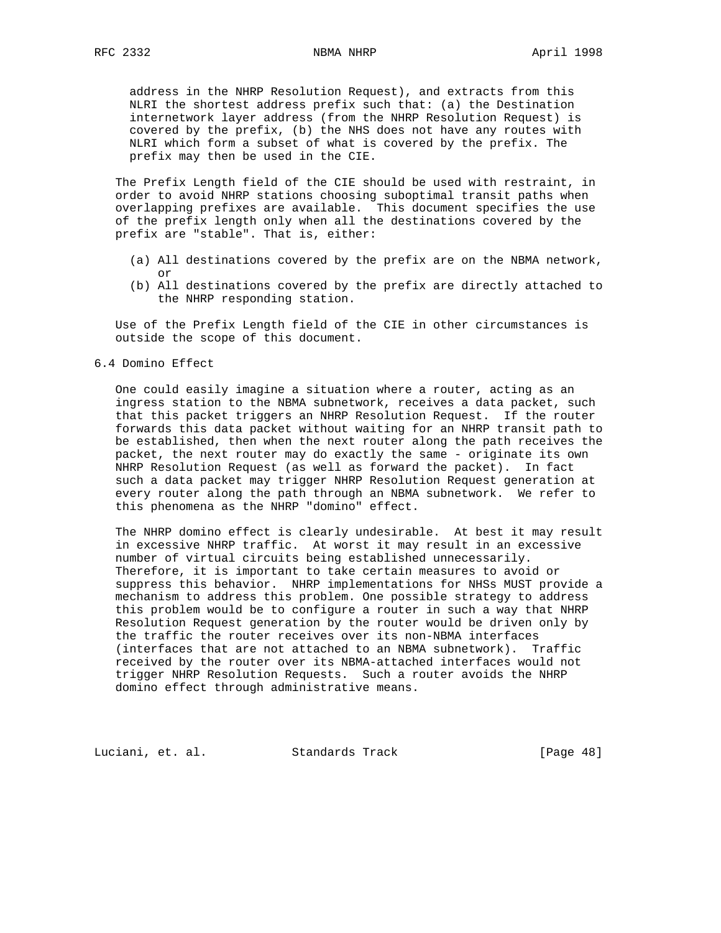address in the NHRP Resolution Request), and extracts from this NLRI the shortest address prefix such that: (a) the Destination internetwork layer address (from the NHRP Resolution Request) is covered by the prefix, (b) the NHS does not have any routes with NLRI which form a subset of what is covered by the prefix. The prefix may then be used in the CIE.

 The Prefix Length field of the CIE should be used with restraint, in order to avoid NHRP stations choosing suboptimal transit paths when overlapping prefixes are available. This document specifies the use of the prefix length only when all the destinations covered by the prefix are "stable". That is, either:

- (a) All destinations covered by the prefix are on the NBMA network, or
- (b) All destinations covered by the prefix are directly attached to the NHRP responding station.

 Use of the Prefix Length field of the CIE in other circumstances is outside the scope of this document.

6.4 Domino Effect

 One could easily imagine a situation where a router, acting as an ingress station to the NBMA subnetwork, receives a data packet, such that this packet triggers an NHRP Resolution Request. If the router forwards this data packet without waiting for an NHRP transit path to be established, then when the next router along the path receives the packet, the next router may do exactly the same - originate its own NHRP Resolution Request (as well as forward the packet). In fact such a data packet may trigger NHRP Resolution Request generation at every router along the path through an NBMA subnetwork. We refer to this phenomena as the NHRP "domino" effect.

 The NHRP domino effect is clearly undesirable. At best it may result in excessive NHRP traffic. At worst it may result in an excessive number of virtual circuits being established unnecessarily. Therefore, it is important to take certain measures to avoid or suppress this behavior. NHRP implementations for NHSs MUST provide a mechanism to address this problem. One possible strategy to address this problem would be to configure a router in such a way that NHRP Resolution Request generation by the router would be driven only by the traffic the router receives over its non-NBMA interfaces (interfaces that are not attached to an NBMA subnetwork). Traffic received by the router over its NBMA-attached interfaces would not trigger NHRP Resolution Requests. Such a router avoids the NHRP domino effect through administrative means.

Luciani, et. al. Standards Track [Page 48]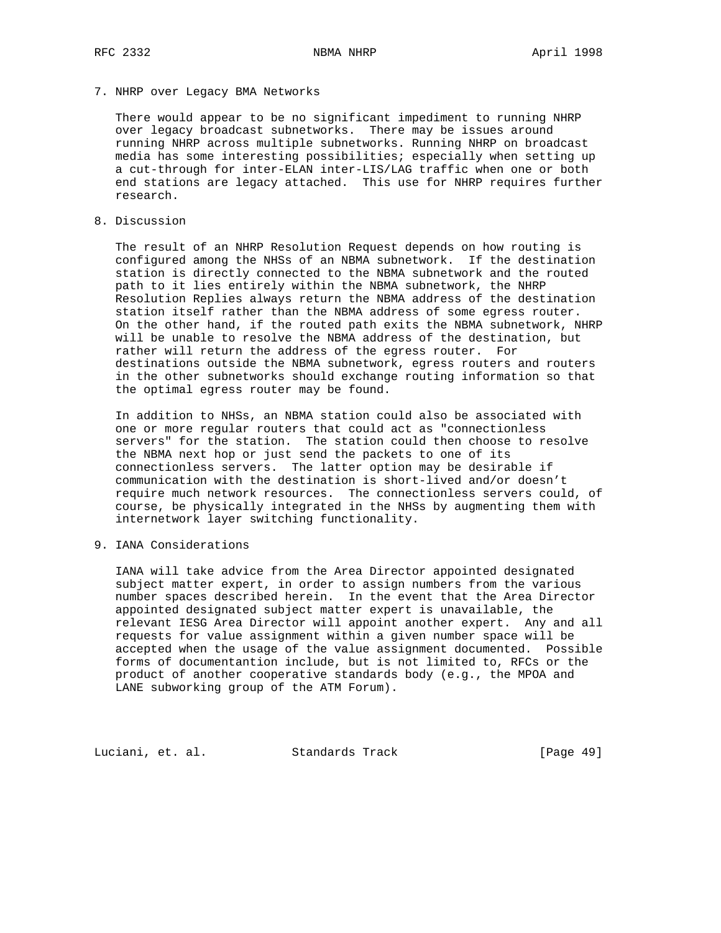7. NHRP over Legacy BMA Networks

 There would appear to be no significant impediment to running NHRP over legacy broadcast subnetworks. There may be issues around running NHRP across multiple subnetworks. Running NHRP on broadcast media has some interesting possibilities; especially when setting up a cut-through for inter-ELAN inter-LIS/LAG traffic when one or both end stations are legacy attached. This use for NHRP requires further research.

8. Discussion

 The result of an NHRP Resolution Request depends on how routing is configured among the NHSs of an NBMA subnetwork. If the destination station is directly connected to the NBMA subnetwork and the routed path to it lies entirely within the NBMA subnetwork, the NHRP Resolution Replies always return the NBMA address of the destination station itself rather than the NBMA address of some egress router. On the other hand, if the routed path exits the NBMA subnetwork, NHRP will be unable to resolve the NBMA address of the destination, but rather will return the address of the egress router. For destinations outside the NBMA subnetwork, egress routers and routers in the other subnetworks should exchange routing information so that the optimal egress router may be found.

 In addition to NHSs, an NBMA station could also be associated with one or more regular routers that could act as "connectionless servers" for the station. The station could then choose to resolve the NBMA next hop or just send the packets to one of its connectionless servers. The latter option may be desirable if communication with the destination is short-lived and/or doesn't require much network resources. The connectionless servers could, of course, be physically integrated in the NHSs by augmenting them with internetwork layer switching functionality.

9. IANA Considerations

 IANA will take advice from the Area Director appointed designated subject matter expert, in order to assign numbers from the various number spaces described herein. In the event that the Area Director appointed designated subject matter expert is unavailable, the relevant IESG Area Director will appoint another expert. Any and all requests for value assignment within a given number space will be accepted when the usage of the value assignment documented. Possible forms of documentantion include, but is not limited to, RFCs or the product of another cooperative standards body (e.g., the MPOA and LANE subworking group of the ATM Forum).

Luciani, et. al. Standards Track [Page 49]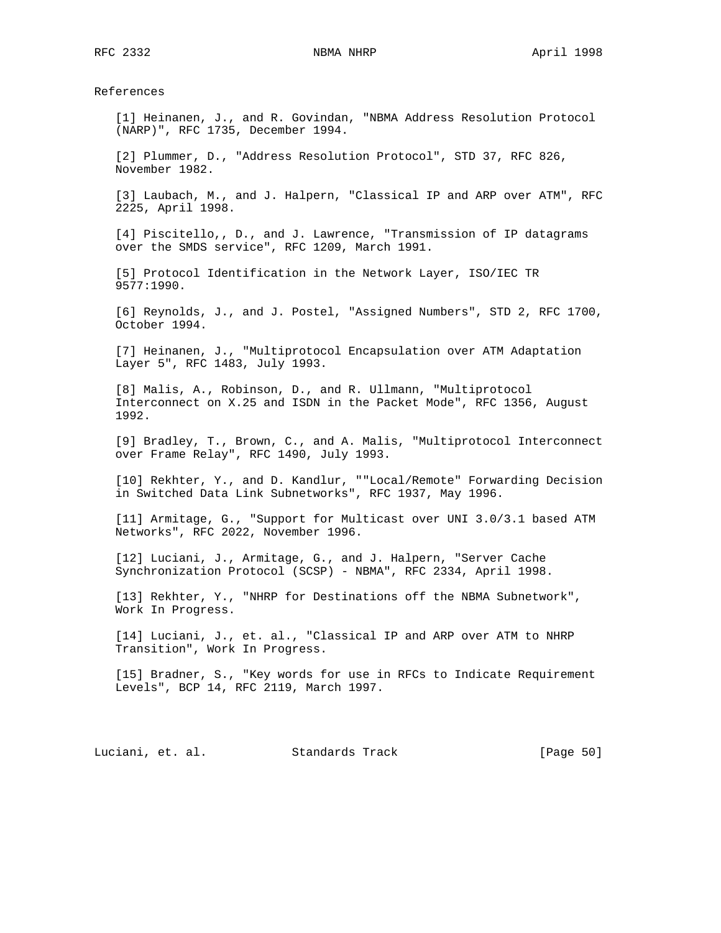References

 [1] Heinanen, J., and R. Govindan, "NBMA Address Resolution Protocol (NARP)", RFC 1735, December 1994.

 [2] Plummer, D., "Address Resolution Protocol", STD 37, RFC 826, November 1982.

 [3] Laubach, M., and J. Halpern, "Classical IP and ARP over ATM", RFC 2225, April 1998.

 [4] Piscitello,, D., and J. Lawrence, "Transmission of IP datagrams over the SMDS service", RFC 1209, March 1991.

 [5] Protocol Identification in the Network Layer, ISO/IEC TR 9577:1990.

 [6] Reynolds, J., and J. Postel, "Assigned Numbers", STD 2, RFC 1700, October 1994.

 [7] Heinanen, J., "Multiprotocol Encapsulation over ATM Adaptation Layer 5", RFC 1483, July 1993.

 [8] Malis, A., Robinson, D., and R. Ullmann, "Multiprotocol Interconnect on X.25 and ISDN in the Packet Mode", RFC 1356, August 1992.

 [9] Bradley, T., Brown, C., and A. Malis, "Multiprotocol Interconnect over Frame Relay", RFC 1490, July 1993.

 [10] Rekhter, Y., and D. Kandlur, ""Local/Remote" Forwarding Decision in Switched Data Link Subnetworks", RFC 1937, May 1996.

 [11] Armitage, G., "Support for Multicast over UNI 3.0/3.1 based ATM Networks", RFC 2022, November 1996.

 [12] Luciani, J., Armitage, G., and J. Halpern, "Server Cache Synchronization Protocol (SCSP) - NBMA", RFC 2334, April 1998.

 [13] Rekhter, Y., "NHRP for Destinations off the NBMA Subnetwork", Work In Progress.

 [14] Luciani, J., et. al., "Classical IP and ARP over ATM to NHRP Transition", Work In Progress.

 [15] Bradner, S., "Key words for use in RFCs to Indicate Requirement Levels", BCP 14, RFC 2119, March 1997.

Luciani, et. al. Standards Track [Page 50]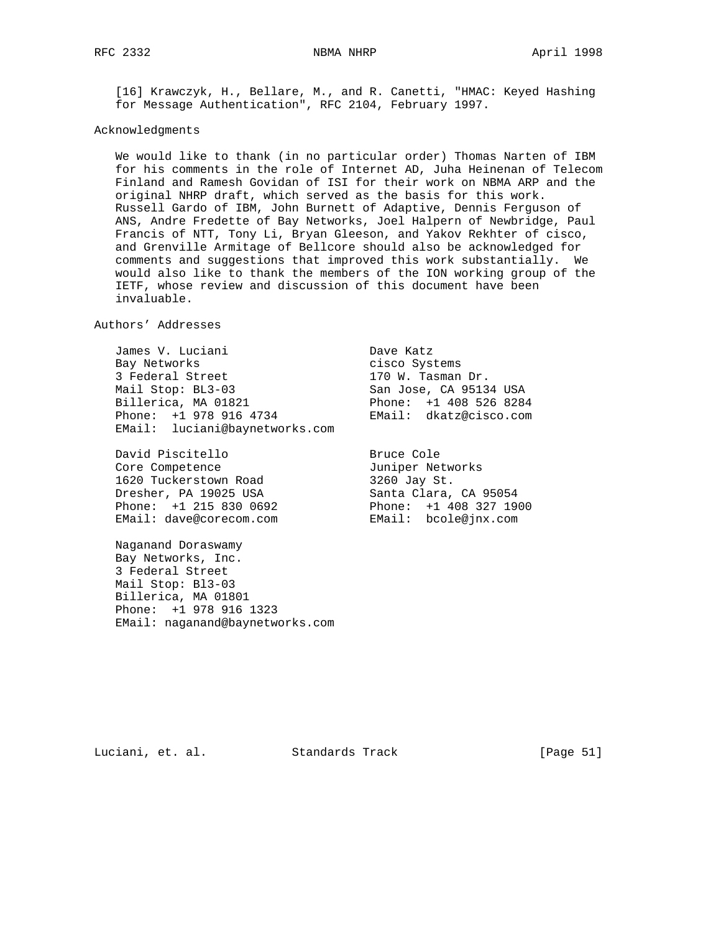[16] Krawczyk, H., Bellare, M., and R. Canetti, "HMAC: Keyed Hashing for Message Authentication", RFC 2104, February 1997.

# Acknowledgments

 We would like to thank (in no particular order) Thomas Narten of IBM for his comments in the role of Internet AD, Juha Heinenan of Telecom Finland and Ramesh Govidan of ISI for their work on NBMA ARP and the original NHRP draft, which served as the basis for this work. Russell Gardo of IBM, John Burnett of Adaptive, Dennis Ferguson of ANS, Andre Fredette of Bay Networks, Joel Halpern of Newbridge, Paul Francis of NTT, Tony Li, Bryan Gleeson, and Yakov Rekhter of cisco, and Grenville Armitage of Bellcore should also be acknowledged for comments and suggestions that improved this work substantially. We would also like to thank the members of the ION working group of the IETF, whose review and discussion of this document have been invaluable.

Authors' Addresses

 James V. Luciani Dave Katz Bay Networks and the cisco Systems 3 Federal Street 170 W. Tasman Dr. Mail Stop: BL3-03 San Jose, CA 95134 USA Billerica, MA 01821 Phone: +1 408 526 8284 Phone: +1 978 916 4734 EMail: dkatz@cisco.com EMail: luciani@baynetworks.com

David Piscitello Bruce Cole<br>Bruce Cole Core Competence and Tuniper Networks 1620 Tuckerstown Road 3260 Jay St. Dresher, PA 19025 USA Santa Clara, CA 95054 Phone: +1 215 830 0692 Phone: +1 408 327 1900 EMail: dave@corecom.com EMail: bcole@jnx.com

 Naganand Doraswamy Bay Networks, Inc. 3 Federal Street Mail Stop: Bl3-03 Billerica, MA 01801 Phone: +1 978 916 1323 EMail: naganand@baynetworks.com

Luciani, et. al. Standards Track [Page 51]